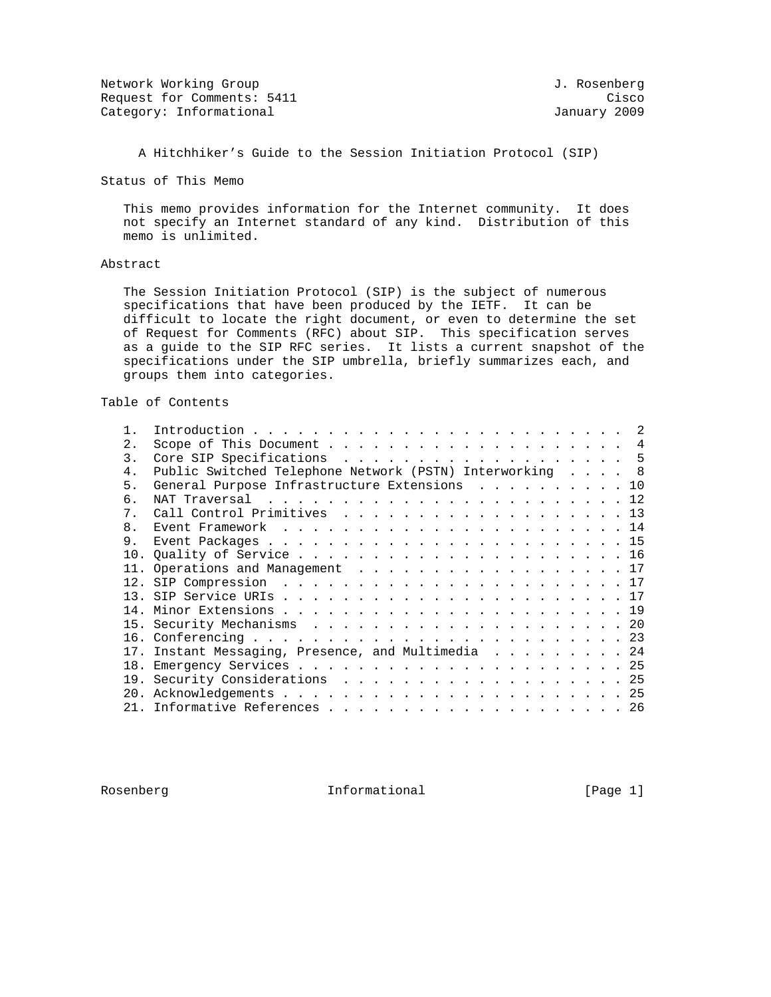Network Working Group 3. 2008 1. Rosenberg 3. Rosenberg 3. Rosenberg Request for Comments: 5411 Cisco Category: Informational and Category: Informational and January 2009

A Hitchhiker's Guide to the Session Initiation Protocol (SIP)

Status of This Memo

 This memo provides information for the Internet community. It does not specify an Internet standard of any kind. Distribution of this memo is unlimited.

# Abstract

 The Session Initiation Protocol (SIP) is the subject of numerous specifications that have been produced by the IETF. It can be difficult to locate the right document, or even to determine the set of Request for Comments (RFC) about SIP. This specification serves as a guide to the SIP RFC series. It lists a current snapshot of the specifications under the SIP umbrella, briefly summarizes each, and groups them into categories.

# Table of Contents

| 2.             |                                                         |  |
|----------------|---------------------------------------------------------|--|
| 3.             | Core SIP Specifications 5                               |  |
| $4$ .          | Public Switched Telephone Network (PSTN) Interworking 8 |  |
| 5 <sub>1</sub> | General Purpose Infrastructure Extensions 10            |  |
| რ —            |                                                         |  |
| 7 <sup>1</sup> | Call Control Primitives 13                              |  |
| 8 <sub>1</sub> | Event Framework $\ldots$ , 14                           |  |
| 9.             |                                                         |  |
|                |                                                         |  |
|                | 11. Operations and Management 17                        |  |
|                |                                                         |  |
|                |                                                         |  |
|                |                                                         |  |
|                |                                                         |  |
|                |                                                         |  |
|                | 17. Instant Messaging, Presence, and Multimedia 24      |  |
|                |                                                         |  |
|                |                                                         |  |
|                |                                                         |  |
|                |                                                         |  |

Rosenberg 11 Informational 1996 [Page 1]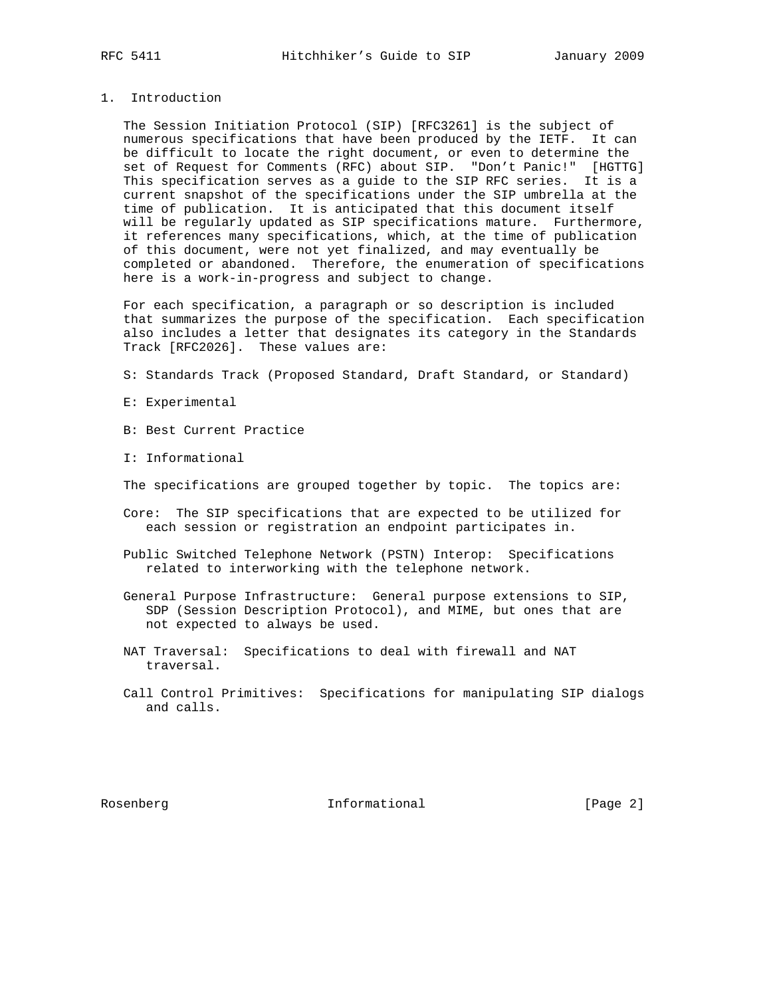## 1. Introduction

 The Session Initiation Protocol (SIP) [RFC3261] is the subject of numerous specifications that have been produced by the IETF. It can be difficult to locate the right document, or even to determine the set of Request for Comments (RFC) about SIP. "Don't Panic!" [HGTTG] This specification serves as a guide to the SIP RFC series. It is a current snapshot of the specifications under the SIP umbrella at the time of publication. It is anticipated that this document itself will be regularly updated as SIP specifications mature. Furthermore, it references many specifications, which, at the time of publication of this document, were not yet finalized, and may eventually be completed or abandoned. Therefore, the enumeration of specifications here is a work-in-progress and subject to change.

 For each specification, a paragraph or so description is included that summarizes the purpose of the specification. Each specification also includes a letter that designates its category in the Standards Track [RFC2026]. These values are:

- S: Standards Track (Proposed Standard, Draft Standard, or Standard)
- E: Experimental
- B: Best Current Practice
- I: Informational

The specifications are grouped together by topic. The topics are:

- Core: The SIP specifications that are expected to be utilized for each session or registration an endpoint participates in.
- Public Switched Telephone Network (PSTN) Interop: Specifications related to interworking with the telephone network.
- General Purpose Infrastructure: General purpose extensions to SIP, SDP (Session Description Protocol), and MIME, but ones that are not expected to always be used.
- NAT Traversal: Specifications to deal with firewall and NAT traversal.
- Call Control Primitives: Specifications for manipulating SIP dialogs and calls.

Rosenberg 11 Informational 1996 [Page 2]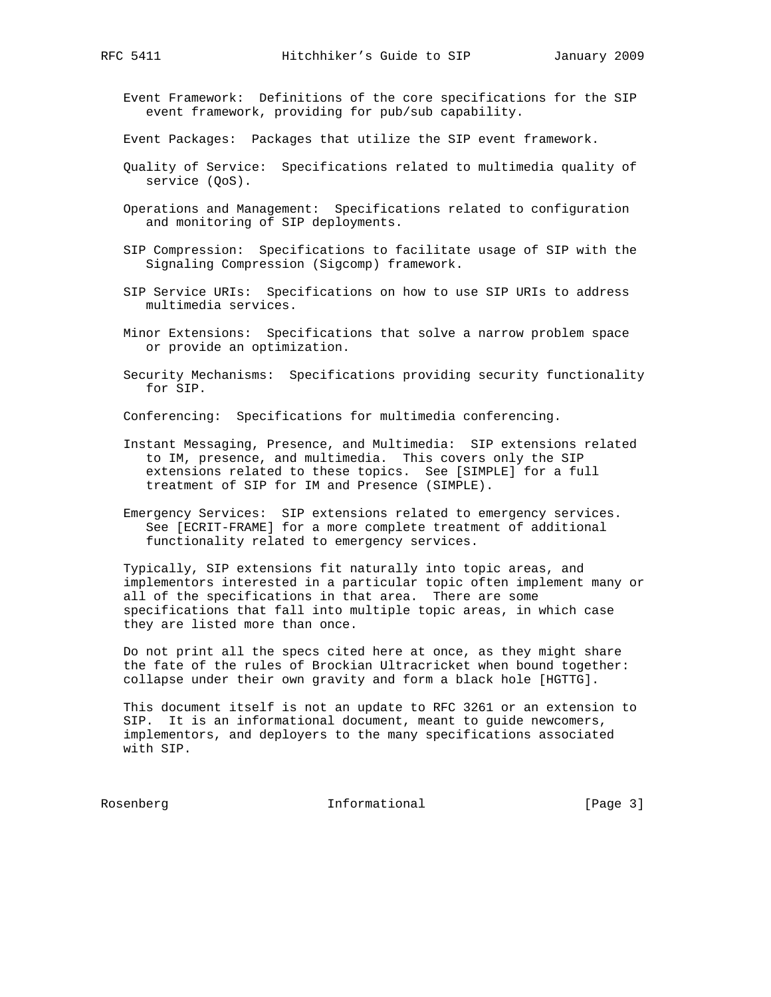Event Framework: Definitions of the core specifications for the SIP event framework, providing for pub/sub capability.

Event Packages: Packages that utilize the SIP event framework.

- Quality of Service: Specifications related to multimedia quality of service (QoS).
- Operations and Management: Specifications related to configuration and monitoring of SIP deployments.
- SIP Compression: Specifications to facilitate usage of SIP with the Signaling Compression (Sigcomp) framework.
- SIP Service URIs: Specifications on how to use SIP URIs to address multimedia services.
- Minor Extensions: Specifications that solve a narrow problem space or provide an optimization.
- Security Mechanisms: Specifications providing security functionality for SIP.

Conferencing: Specifications for multimedia conferencing.

- Instant Messaging, Presence, and Multimedia: SIP extensions related to IM, presence, and multimedia. This covers only the SIP extensions related to these topics. See [SIMPLE] for a full treatment of SIP for IM and Presence (SIMPLE).
- Emergency Services: SIP extensions related to emergency services. See [ECRIT-FRAME] for a more complete treatment of additional functionality related to emergency services.

 Typically, SIP extensions fit naturally into topic areas, and implementors interested in a particular topic often implement many or all of the specifications in that area. There are some specifications that fall into multiple topic areas, in which case they are listed more than once.

 Do not print all the specs cited here at once, as they might share the fate of the rules of Brockian Ultracricket when bound together: collapse under their own gravity and form a black hole [HGTTG].

 This document itself is not an update to RFC 3261 or an extension to SIP. It is an informational document, meant to guide newcomers, implementors, and deployers to the many specifications associated with SIP.

Rosenberg **Informational** [Page 3]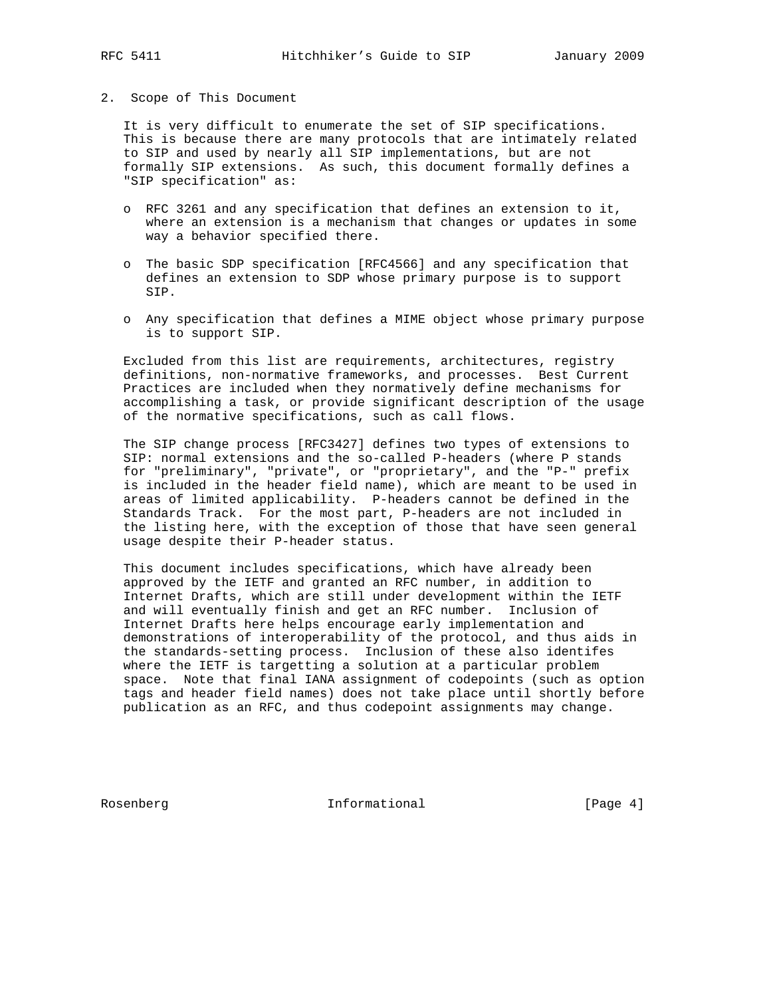### 2. Scope of This Document

 It is very difficult to enumerate the set of SIP specifications. This is because there are many protocols that are intimately related to SIP and used by nearly all SIP implementations, but are not formally SIP extensions. As such, this document formally defines a "SIP specification" as:

- o RFC 3261 and any specification that defines an extension to it, where an extension is a mechanism that changes or updates in some way a behavior specified there.
- o The basic SDP specification [RFC4566] and any specification that defines an extension to SDP whose primary purpose is to support SIP.
- o Any specification that defines a MIME object whose primary purpose is to support SIP.

 Excluded from this list are requirements, architectures, registry definitions, non-normative frameworks, and processes. Best Current Practices are included when they normatively define mechanisms for accomplishing a task, or provide significant description of the usage of the normative specifications, such as call flows.

 The SIP change process [RFC3427] defines two types of extensions to SIP: normal extensions and the so-called P-headers (where P stands for "preliminary", "private", or "proprietary", and the "P-" prefix is included in the header field name), which are meant to be used in areas of limited applicability. P-headers cannot be defined in the Standards Track. For the most part, P-headers are not included in the listing here, with the exception of those that have seen general usage despite their P-header status.

 This document includes specifications, which have already been approved by the IETF and granted an RFC number, in addition to Internet Drafts, which are still under development within the IETF and will eventually finish and get an RFC number. Inclusion of Internet Drafts here helps encourage early implementation and demonstrations of interoperability of the protocol, and thus aids in the standards-setting process. Inclusion of these also identifes where the IETF is targetting a solution at a particular problem space. Note that final IANA assignment of codepoints (such as option tags and header field names) does not take place until shortly before publication as an RFC, and thus codepoint assignments may change.

Rosenberg 10 Informational [Page 4]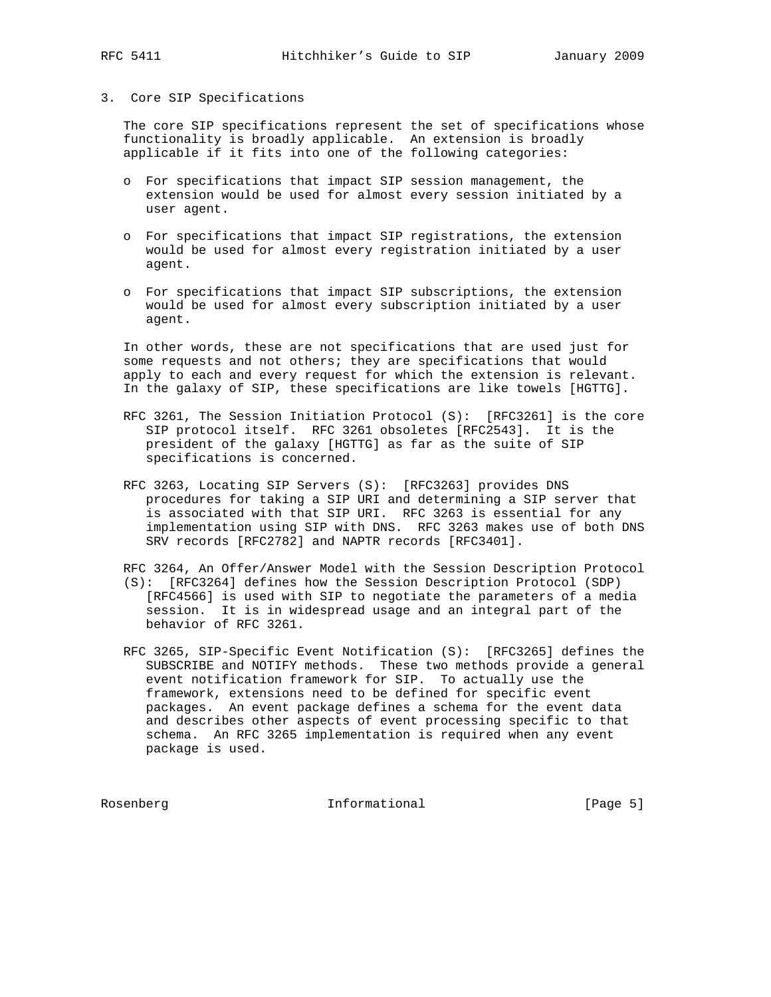# 3. Core SIP Specifications

 The core SIP specifications represent the set of specifications whose functionality is broadly applicable. An extension is broadly applicable if it fits into one of the following categories:

- o For specifications that impact SIP session management, the extension would be used for almost every session initiated by a user agent.
- o For specifications that impact SIP registrations, the extension would be used for almost every registration initiated by a user agent.
- o For specifications that impact SIP subscriptions, the extension would be used for almost every subscription initiated by a user agent.

 In other words, these are not specifications that are used just for some requests and not others; they are specifications that would apply to each and every request for which the extension is relevant. In the galaxy of SIP, these specifications are like towels [HGTTG].

- RFC 3261, The Session Initiation Protocol (S): [RFC3261] is the core SIP protocol itself. RFC 3261 obsoletes [RFC2543]. It is the president of the galaxy [HGTTG] as far as the suite of SIP specifications is concerned.
- RFC 3263, Locating SIP Servers (S): [RFC3263] provides DNS procedures for taking a SIP URI and determining a SIP server that is associated with that SIP URI. RFC 3263 is essential for any implementation using SIP with DNS. RFC 3263 makes use of both DNS SRV records [RFC2782] and NAPTR records [RFC3401].

RFC 3264, An Offer/Answer Model with the Session Description Protocol

- (S): [RFC3264] defines how the Session Description Protocol (SDP) [RFC4566] is used with SIP to negotiate the parameters of a media session. It is in widespread usage and an integral part of the behavior of RFC 3261.
- RFC 3265, SIP-Specific Event Notification (S): [RFC3265] defines the SUBSCRIBE and NOTIFY methods. These two methods provide a general event notification framework for SIP. To actually use the framework, extensions need to be defined for specific event packages. An event package defines a schema for the event data and describes other aspects of event processing specific to that schema. An RFC 3265 implementation is required when any event package is used.

Rosenberg **Informational Informational** [Page 5]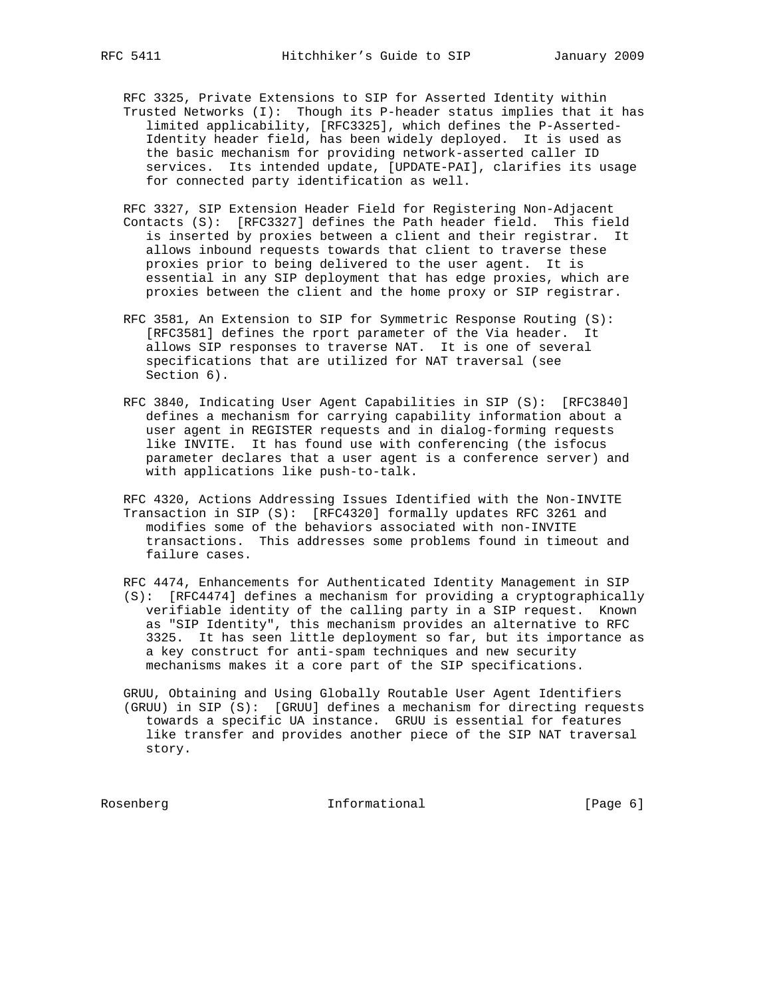RFC 3325, Private Extensions to SIP for Asserted Identity within Trusted Networks (I): Though its P-header status implies that it has limited applicability, [RFC3325], which defines the P-Asserted- Identity header field, has been widely deployed. It is used as the basic mechanism for providing network-asserted caller ID services. Its intended update, [UPDATE-PAI], clarifies its usage for connected party identification as well.

 RFC 3327, SIP Extension Header Field for Registering Non-Adjacent Contacts (S): [RFC3327] defines the Path header field. This field is inserted by proxies between a client and their registrar. It allows inbound requests towards that client to traverse these proxies prior to being delivered to the user agent. It is essential in any SIP deployment that has edge proxies, which are proxies between the client and the home proxy or SIP registrar.

- RFC 3581, An Extension to SIP for Symmetric Response Routing (S): [RFC3581] defines the rport parameter of the Via header. It allows SIP responses to traverse NAT. It is one of several specifications that are utilized for NAT traversal (see Section 6).
- RFC 3840, Indicating User Agent Capabilities in SIP (S): [RFC3840] defines a mechanism for carrying capability information about a user agent in REGISTER requests and in dialog-forming requests like INVITE. It has found use with conferencing (the isfocus parameter declares that a user agent is a conference server) and with applications like push-to-talk.
- RFC 4320, Actions Addressing Issues Identified with the Non-INVITE Transaction in SIP (S): [RFC4320] formally updates RFC 3261 and modifies some of the behaviors associated with non-INVITE transactions. This addresses some problems found in timeout and failure cases.
- RFC 4474, Enhancements for Authenticated Identity Management in SIP (S): [RFC4474] defines a mechanism for providing a cryptographically verifiable identity of the calling party in a SIP request. Known as "SIP Identity", this mechanism provides an alternative to RFC 3325. It has seen little deployment so far, but its importance as a key construct for anti-spam techniques and new security mechanisms makes it a core part of the SIP specifications.

 GRUU, Obtaining and Using Globally Routable User Agent Identifiers (GRUU) in SIP (S): [GRUU] defines a mechanism for directing requests towards a specific UA instance. GRUU is essential for features like transfer and provides another piece of the SIP NAT traversal story.

Rosenberg **Informational Informational** [Page 6]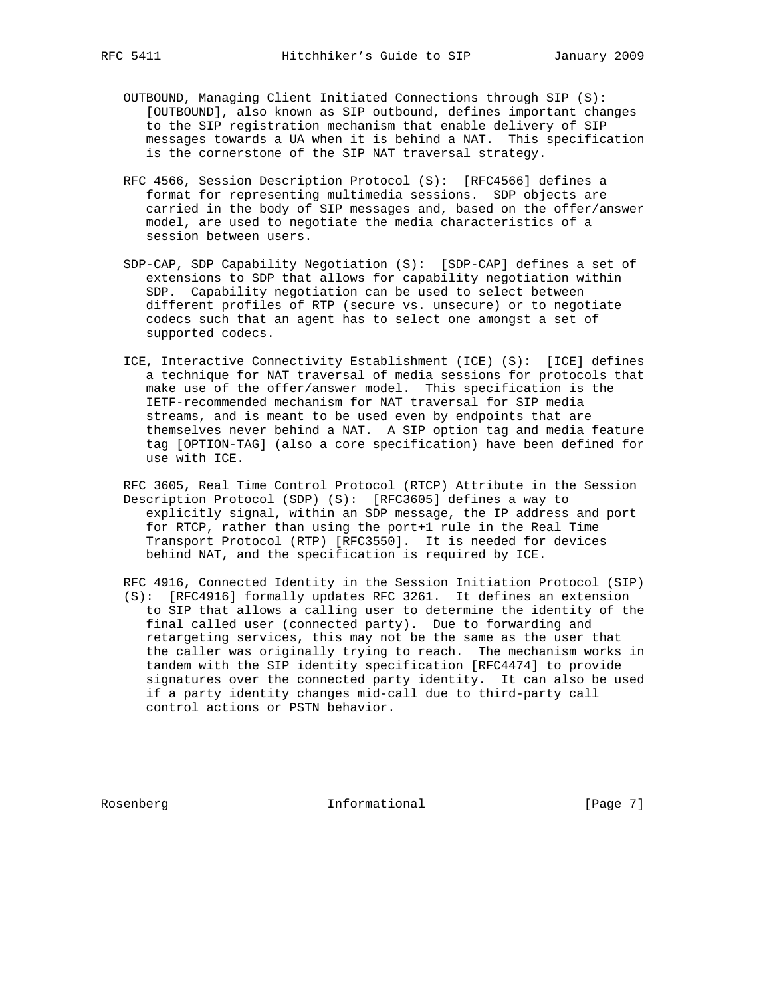- OUTBOUND, Managing Client Initiated Connections through SIP (S): [OUTBOUND], also known as SIP outbound, defines important changes to the SIP registration mechanism that enable delivery of SIP messages towards a UA when it is behind a NAT. This specification is the cornerstone of the SIP NAT traversal strategy.
- RFC 4566, Session Description Protocol (S): [RFC4566] defines a format for representing multimedia sessions. SDP objects are carried in the body of SIP messages and, based on the offer/answer model, are used to negotiate the media characteristics of a session between users.
- SDP-CAP, SDP Capability Negotiation (S): [SDP-CAP] defines a set of extensions to SDP that allows for capability negotiation within SDP. Capability negotiation can be used to select between different profiles of RTP (secure vs. unsecure) or to negotiate codecs such that an agent has to select one amongst a set of supported codecs.
- ICE, Interactive Connectivity Establishment (ICE) (S): [ICE] defines a technique for NAT traversal of media sessions for protocols that make use of the offer/answer model. This specification is the IETF-recommended mechanism for NAT traversal for SIP media streams, and is meant to be used even by endpoints that are themselves never behind a NAT. A SIP option tag and media feature tag [OPTION-TAG] (also a core specification) have been defined for use with ICE.
- RFC 3605, Real Time Control Protocol (RTCP) Attribute in the Session Description Protocol (SDP) (S): [RFC3605] defines a way to explicitly signal, within an SDP message, the IP address and port for RTCP, rather than using the port+1 rule in the Real Time Transport Protocol (RTP) [RFC3550]. It is needed for devices behind NAT, and the specification is required by ICE.
- RFC 4916, Connected Identity in the Session Initiation Protocol (SIP) (S): [RFC4916] formally updates RFC 3261. It defines an extension to SIP that allows a calling user to determine the identity of the final called user (connected party). Due to forwarding and retargeting services, this may not be the same as the user that the caller was originally trying to reach. The mechanism works in tandem with the SIP identity specification [RFC4474] to provide signatures over the connected party identity. It can also be used if a party identity changes mid-call due to third-party call control actions or PSTN behavior.

Rosenberg **Informational Informational** [Page 7]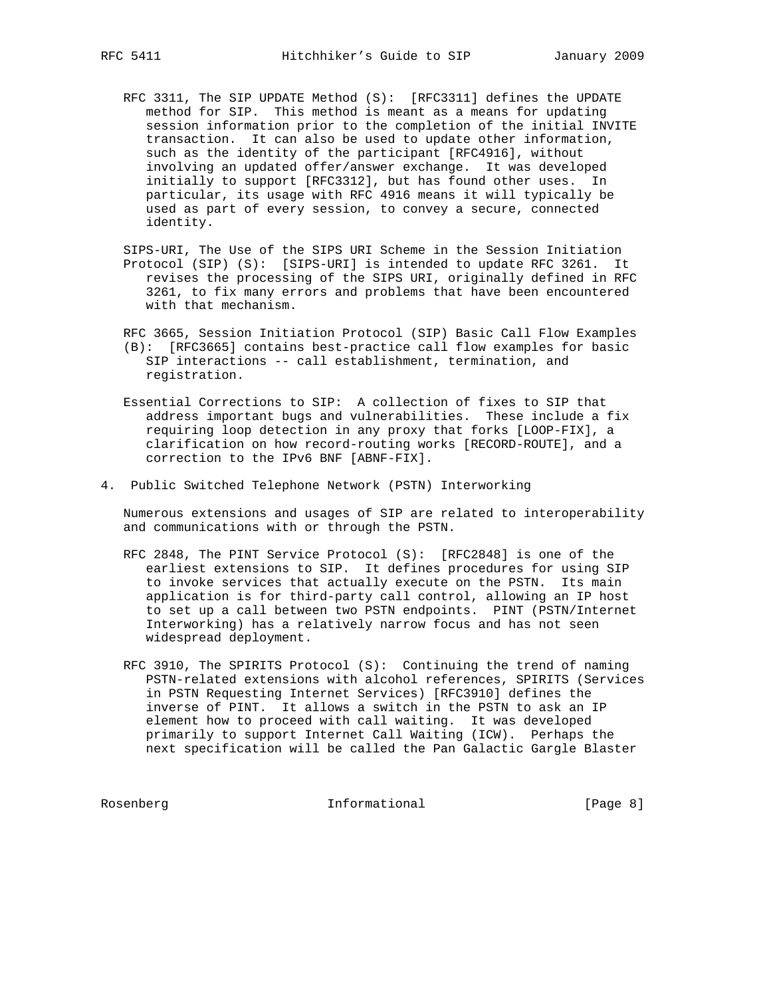- RFC 3311, The SIP UPDATE Method (S): [RFC3311] defines the UPDATE method for SIP. This method is meant as a means for updating session information prior to the completion of the initial INVITE transaction. It can also be used to update other information, such as the identity of the participant [RFC4916], without involving an updated offer/answer exchange. It was developed initially to support [RFC3312], but has found other uses. In particular, its usage with RFC 4916 means it will typically be used as part of every session, to convey a secure, connected identity.
- SIPS-URI, The Use of the SIPS URI Scheme in the Session Initiation Protocol (SIP) (S): [SIPS-URI] is intended to update RFC 3261. It revises the processing of the SIPS URI, originally defined in RFC 3261, to fix many errors and problems that have been encountered with that mechanism.
- RFC 3665, Session Initiation Protocol (SIP) Basic Call Flow Examples (B): [RFC3665] contains best-practice call flow examples for basic SIP interactions -- call establishment, termination, and registration.
- Essential Corrections to SIP: A collection of fixes to SIP that address important bugs and vulnerabilities. These include a fix requiring loop detection in any proxy that forks [LOOP-FIX], a clarification on how record-routing works [RECORD-ROUTE], and a correction to the IPv6 BNF [ABNF-FIX].
- 4. Public Switched Telephone Network (PSTN) Interworking

 Numerous extensions and usages of SIP are related to interoperability and communications with or through the PSTN.

- RFC 2848, The PINT Service Protocol (S): [RFC2848] is one of the earliest extensions to SIP. It defines procedures for using SIP to invoke services that actually execute on the PSTN. Its main application is for third-party call control, allowing an IP host to set up a call between two PSTN endpoints. PINT (PSTN/Internet Interworking) has a relatively narrow focus and has not seen widespread deployment.
- RFC 3910, The SPIRITS Protocol (S): Continuing the trend of naming PSTN-related extensions with alcohol references, SPIRITS (Services in PSTN Requesting Internet Services) [RFC3910] defines the inverse of PINT. It allows a switch in the PSTN to ask an IP element how to proceed with call waiting. It was developed primarily to support Internet Call Waiting (ICW). Perhaps the next specification will be called the Pan Galactic Gargle Blaster

Rosenberg 10 Informational [Page 8]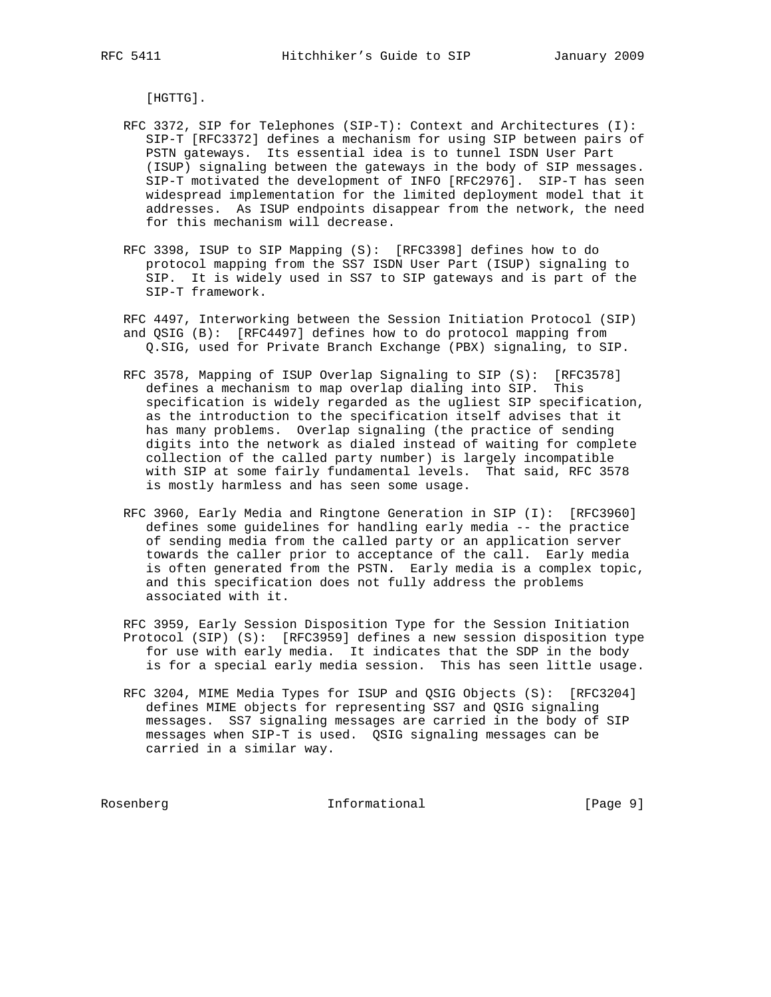[HGTTG].

- RFC 3372, SIP for Telephones (SIP-T): Context and Architectures (I): SIP-T [RFC3372] defines a mechanism for using SIP between pairs of PSTN gateways. Its essential idea is to tunnel ISDN User Part (ISUP) signaling between the gateways in the body of SIP messages. SIP-T motivated the development of INFO [RFC2976]. SIP-T has seen widespread implementation for the limited deployment model that it addresses. As ISUP endpoints disappear from the network, the need for this mechanism will decrease.
- RFC 3398, ISUP to SIP Mapping (S): [RFC3398] defines how to do protocol mapping from the SS7 ISDN User Part (ISUP) signaling to SIP. It is widely used in SS7 to SIP gateways and is part of the SIP-T framework.
- RFC 4497, Interworking between the Session Initiation Protocol (SIP) and QSIG (B): [RFC4497] defines how to do protocol mapping from Q.SIG, used for Private Branch Exchange (PBX) signaling, to SIP.
- RFC 3578, Mapping of ISUP Overlap Signaling to SIP (S): [RFC3578] defines a mechanism to map overlap dialing into SIP. This specification is widely regarded as the ugliest SIP specification, as the introduction to the specification itself advises that it has many problems. Overlap signaling (the practice of sending digits into the network as dialed instead of waiting for complete collection of the called party number) is largely incompatible with SIP at some fairly fundamental levels. That said, RFC 3578 is mostly harmless and has seen some usage.
- RFC 3960, Early Media and Ringtone Generation in SIP (I): [RFC3960] defines some guidelines for handling early media -- the practice of sending media from the called party or an application server towards the caller prior to acceptance of the call. Early media is often generated from the PSTN. Early media is a complex topic, and this specification does not fully address the problems associated with it.
- RFC 3959, Early Session Disposition Type for the Session Initiation Protocol (SIP) (S): [RFC3959] defines a new session disposition type for use with early media. It indicates that the SDP in the body is for a special early media session. This has seen little usage.
- RFC 3204, MIME Media Types for ISUP and QSIG Objects (S): [RFC3204] defines MIME objects for representing SS7 and QSIG signaling messages. SS7 signaling messages are carried in the body of SIP messages when SIP-T is used. QSIG signaling messages can be carried in a similar way.

Rosenberg **Informational Informational** [Page 9]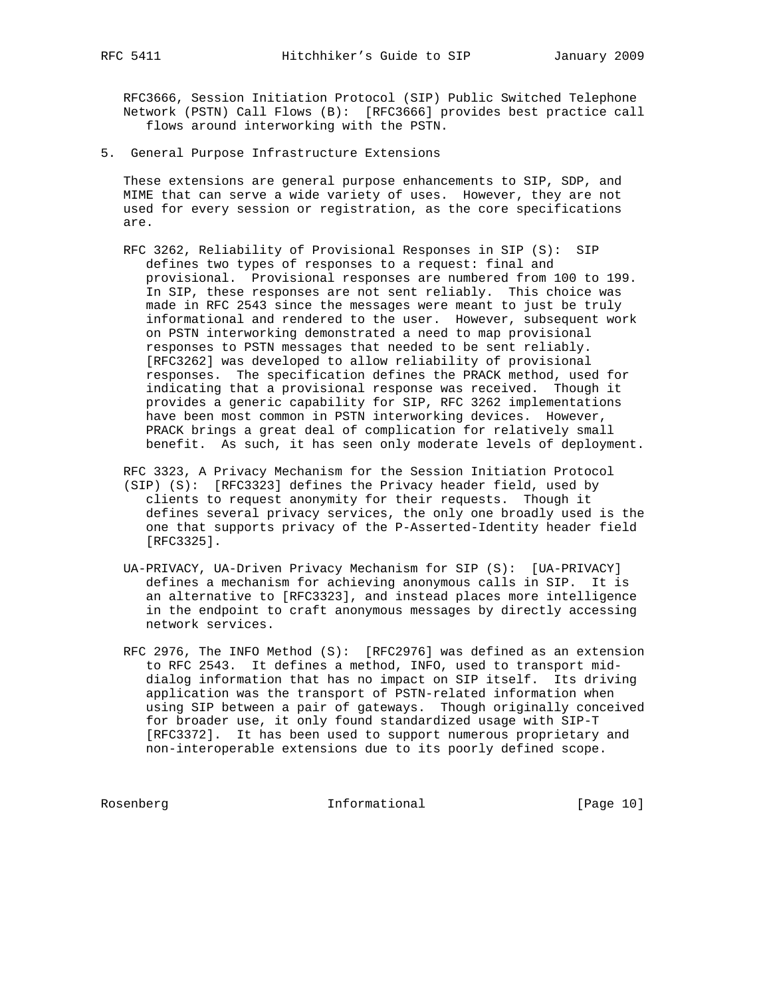RFC3666, Session Initiation Protocol (SIP) Public Switched Telephone Network (PSTN) Call Flows (B): [RFC3666] provides best practice call flows around interworking with the PSTN.

5. General Purpose Infrastructure Extensions

 These extensions are general purpose enhancements to SIP, SDP, and MIME that can serve a wide variety of uses. However, they are not used for every session or registration, as the core specifications are.

 RFC 3262, Reliability of Provisional Responses in SIP (S): SIP defines two types of responses to a request: final and provisional. Provisional responses are numbered from 100 to 199. In SIP, these responses are not sent reliably. This choice was made in RFC 2543 since the messages were meant to just be truly informational and rendered to the user. However, subsequent work on PSTN interworking demonstrated a need to map provisional responses to PSTN messages that needed to be sent reliably. [RFC3262] was developed to allow reliability of provisional responses. The specification defines the PRACK method, used for indicating that a provisional response was received. Though it provides a generic capability for SIP, RFC 3262 implementations have been most common in PSTN interworking devices. However, PRACK brings a great deal of complication for relatively small benefit. As such, it has seen only moderate levels of deployment.

 RFC 3323, A Privacy Mechanism for the Session Initiation Protocol (SIP) (S): [RFC3323] defines the Privacy header field, used by clients to request anonymity for their requests. Though it defines several privacy services, the only one broadly used is the one that supports privacy of the P-Asserted-Identity header field [RFC3325].

- UA-PRIVACY, UA-Driven Privacy Mechanism for SIP (S): [UA-PRIVACY] defines a mechanism for achieving anonymous calls in SIP. It is an alternative to [RFC3323], and instead places more intelligence in the endpoint to craft anonymous messages by directly accessing network services.
- RFC 2976, The INFO Method (S): [RFC2976] was defined as an extension to RFC 2543. It defines a method, INFO, used to transport mid dialog information that has no impact on SIP itself. Its driving application was the transport of PSTN-related information when using SIP between a pair of gateways. Though originally conceived for broader use, it only found standardized usage with SIP-T [RFC3372]. It has been used to support numerous proprietary and non-interoperable extensions due to its poorly defined scope.

Rosenberg 10 Informational [Page 10]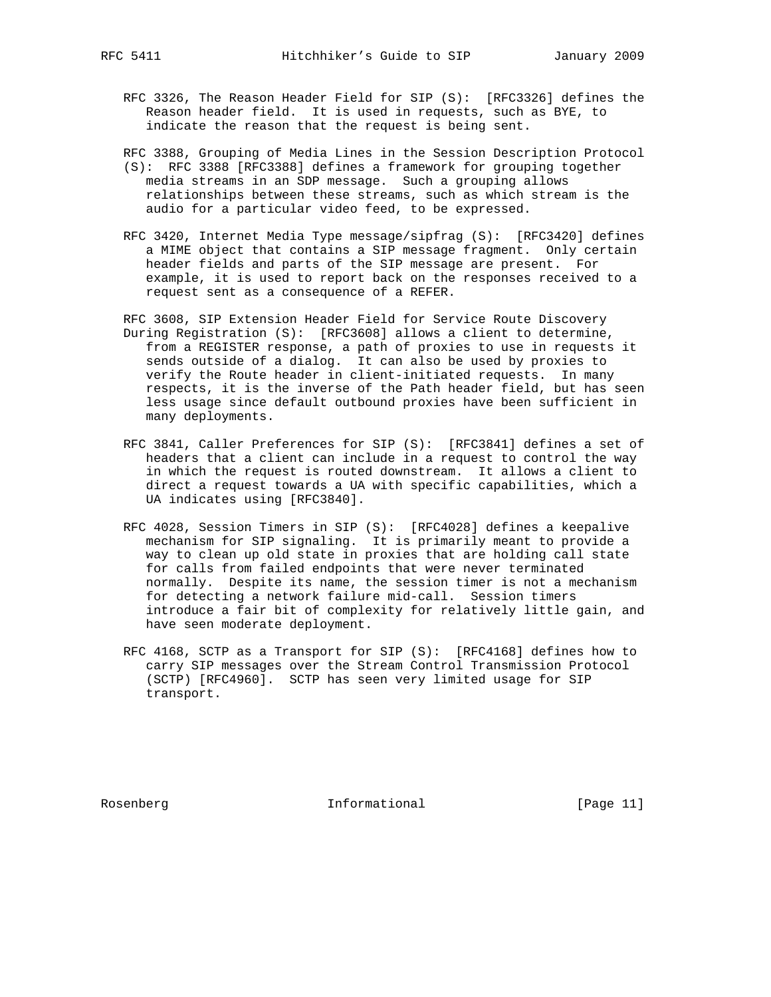RFC 3326, The Reason Header Field for SIP (S): [RFC3326] defines the Reason header field. It is used in requests, such as BYE, to indicate the reason that the request is being sent.

RFC 3388, Grouping of Media Lines in the Session Description Protocol

- (S): RFC 3388 [RFC3388] defines a framework for grouping together media streams in an SDP message. Such a grouping allows relationships between these streams, such as which stream is the audio for a particular video feed, to be expressed.
- RFC 3420, Internet Media Type message/sipfrag (S): [RFC3420] defines a MIME object that contains a SIP message fragment. Only certain header fields and parts of the SIP message are present. For example, it is used to report back on the responses received to a request sent as a consequence of a REFER.
- RFC 3608, SIP Extension Header Field for Service Route Discovery During Registration (S): [RFC3608] allows a client to determine, from a REGISTER response, a path of proxies to use in requests it sends outside of a dialog. It can also be used by proxies to verify the Route header in client-initiated requests. In many respects, it is the inverse of the Path header field, but has seen less usage since default outbound proxies have been sufficient in many deployments.
- RFC 3841, Caller Preferences for SIP (S): [RFC3841] defines a set of headers that a client can include in a request to control the way in which the request is routed downstream. It allows a client to direct a request towards a UA with specific capabilities, which a UA indicates using [RFC3840].
- RFC 4028, Session Timers in SIP (S): [RFC4028] defines a keepalive mechanism for SIP signaling. It is primarily meant to provide a way to clean up old state in proxies that are holding call state for calls from failed endpoints that were never terminated normally. Despite its name, the session timer is not a mechanism for detecting a network failure mid-call. Session timers introduce a fair bit of complexity for relatively little gain, and have seen moderate deployment.
- RFC 4168, SCTP as a Transport for SIP (S): [RFC4168] defines how to carry SIP messages over the Stream Control Transmission Protocol (SCTP) [RFC4960]. SCTP has seen very limited usage for SIP transport.

Rosenberg 11 Informational [Page 11]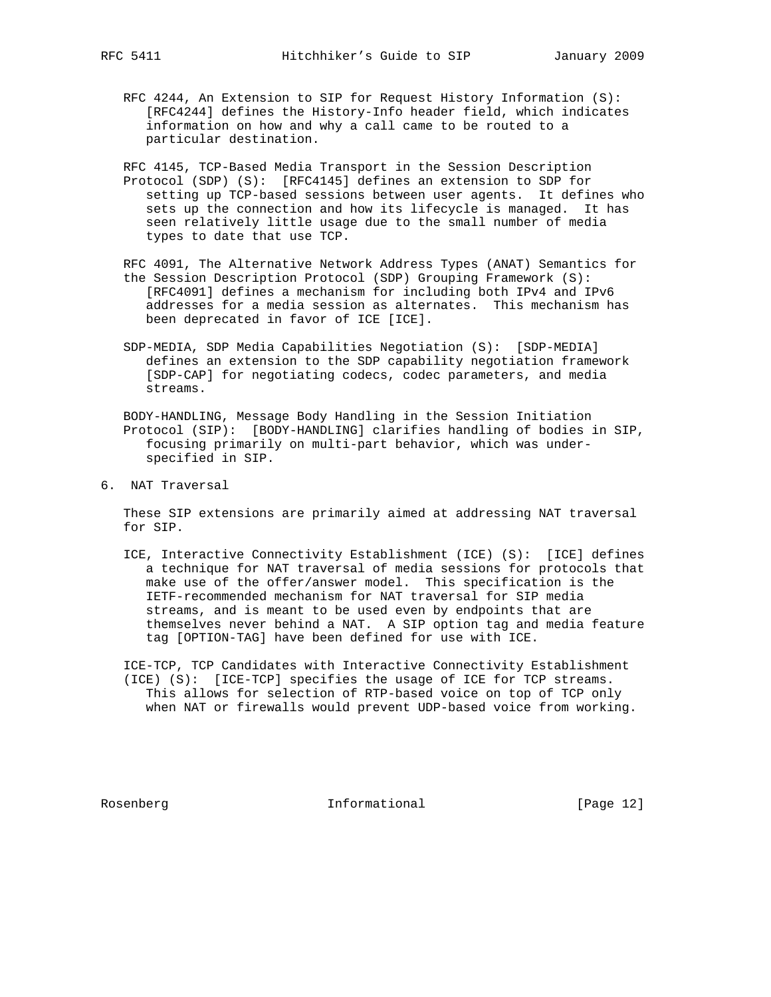- RFC 4244, An Extension to SIP for Request History Information (S): [RFC4244] defines the History-Info header field, which indicates information on how and why a call came to be routed to a particular destination.
- RFC 4145, TCP-Based Media Transport in the Session Description Protocol (SDP) (S): [RFC4145] defines an extension to SDP for setting up TCP-based sessions between user agents. It defines who sets up the connection and how its lifecycle is managed. It has seen relatively little usage due to the small number of media types to date that use TCP.
- RFC 4091, The Alternative Network Address Types (ANAT) Semantics for the Session Description Protocol (SDP) Grouping Framework (S): [RFC4091] defines a mechanism for including both IPv4 and IPv6 addresses for a media session as alternates. This mechanism has been deprecated in favor of ICE [ICE].
- SDP-MEDIA, SDP Media Capabilities Negotiation (S): [SDP-MEDIA] defines an extension to the SDP capability negotiation framework [SDP-CAP] for negotiating codecs, codec parameters, and media streams.
- BODY-HANDLING, Message Body Handling in the Session Initiation Protocol (SIP): [BODY-HANDLING] clarifies handling of bodies in SIP, focusing primarily on multi-part behavior, which was under specified in SIP.
- 6. NAT Traversal

 These SIP extensions are primarily aimed at addressing NAT traversal for SIP.

 ICE, Interactive Connectivity Establishment (ICE) (S): [ICE] defines a technique for NAT traversal of media sessions for protocols that make use of the offer/answer model. This specification is the IETF-recommended mechanism for NAT traversal for SIP media streams, and is meant to be used even by endpoints that are themselves never behind a NAT. A SIP option tag and media feature tag [OPTION-TAG] have been defined for use with ICE.

 ICE-TCP, TCP Candidates with Interactive Connectivity Establishment (ICE) (S): [ICE-TCP] specifies the usage of ICE for TCP streams. This allows for selection of RTP-based voice on top of TCP only when NAT or firewalls would prevent UDP-based voice from working.

Rosenberg 12]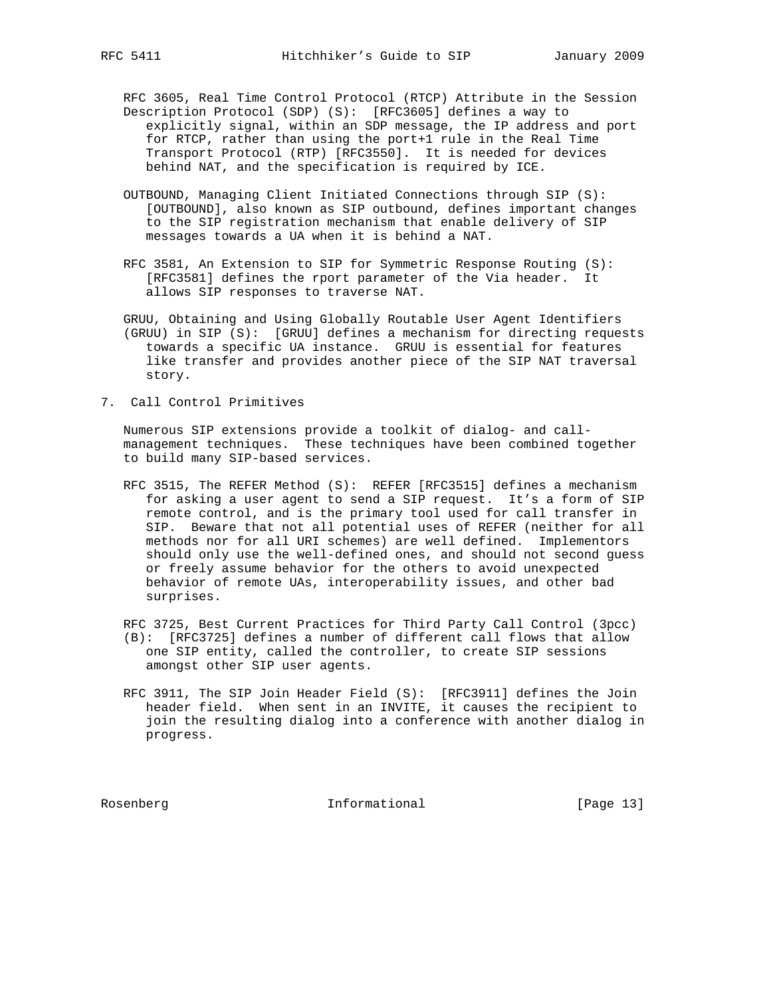RFC 3605, Real Time Control Protocol (RTCP) Attribute in the Session Description Protocol (SDP) (S): [RFC3605] defines a way to explicitly signal, within an SDP message, the IP address and port for RTCP, rather than using the port+1 rule in the Real Time Transport Protocol (RTP) [RFC3550]. It is needed for devices behind NAT, and the specification is required by ICE.

- OUTBOUND, Managing Client Initiated Connections through SIP (S): [OUTBOUND], also known as SIP outbound, defines important changes to the SIP registration mechanism that enable delivery of SIP messages towards a UA when it is behind a NAT.
- RFC 3581, An Extension to SIP for Symmetric Response Routing (S): [RFC3581] defines the rport parameter of the Via header. It allows SIP responses to traverse NAT.
- GRUU, Obtaining and Using Globally Routable User Agent Identifiers (GRUU) in SIP (S): [GRUU] defines a mechanism for directing requests towards a specific UA instance. GRUU is essential for features like transfer and provides another piece of the SIP NAT traversal story.
- 7. Call Control Primitives

 Numerous SIP extensions provide a toolkit of dialog- and call management techniques. These techniques have been combined together to build many SIP-based services.

 RFC 3515, The REFER Method (S): REFER [RFC3515] defines a mechanism for asking a user agent to send a SIP request. It's a form of SIP remote control, and is the primary tool used for call transfer in SIP. Beware that not all potential uses of REFER (neither for all methods nor for all URI schemes) are well defined. Implementors should only use the well-defined ones, and should not second guess or freely assume behavior for the others to avoid unexpected behavior of remote UAs, interoperability issues, and other bad surprises.

 RFC 3725, Best Current Practices for Third Party Call Control (3pcc) (B): [RFC3725] defines a number of different call flows that allow

- one SIP entity, called the controller, to create SIP sessions amongst other SIP user agents.
- RFC 3911, The SIP Join Header Field (S): [RFC3911] defines the Join header field. When sent in an INVITE, it causes the recipient to join the resulting dialog into a conference with another dialog in progress.

Rosenberg 13 Informational [Page 13]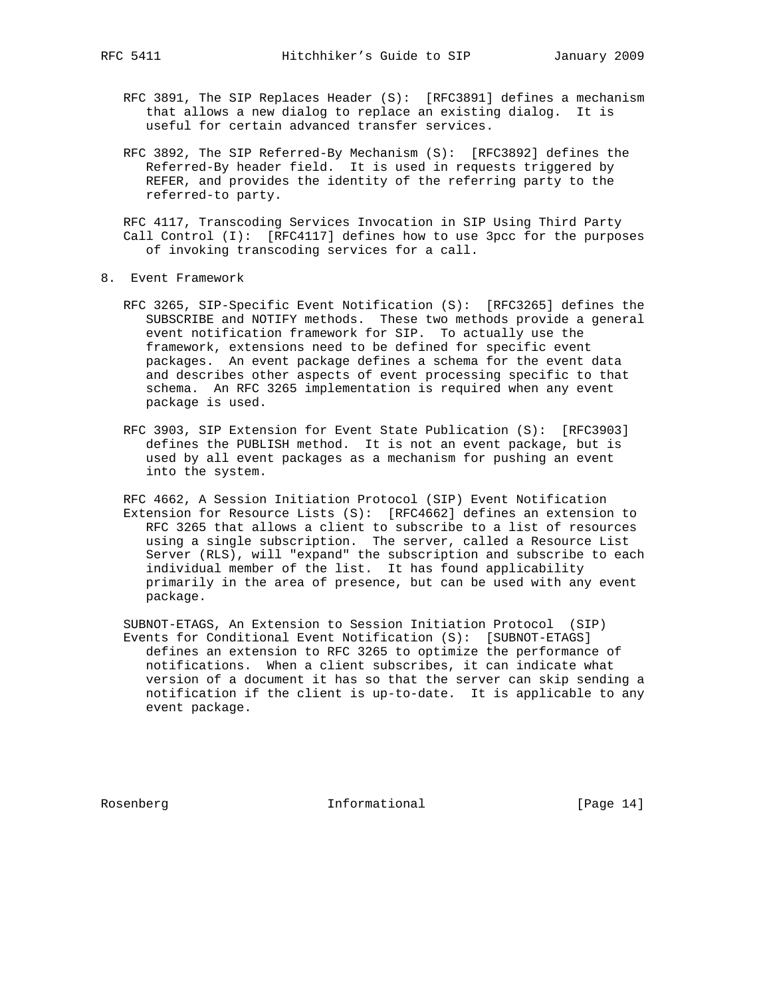- RFC 3891, The SIP Replaces Header (S): [RFC3891] defines a mechanism that allows a new dialog to replace an existing dialog. It is useful for certain advanced transfer services.
- RFC 3892, The SIP Referred-By Mechanism (S): [RFC3892] defines the Referred-By header field. It is used in requests triggered by REFER, and provides the identity of the referring party to the referred-to party.

 RFC 4117, Transcoding Services Invocation in SIP Using Third Party Call Control (I): [RFC4117] defines how to use 3pcc for the purposes of invoking transcoding services for a call.

- 8. Event Framework
	- RFC 3265, SIP-Specific Event Notification (S): [RFC3265] defines the SUBSCRIBE and NOTIFY methods. These two methods provide a general event notification framework for SIP. To actually use the framework, extensions need to be defined for specific event packages. An event package defines a schema for the event data and describes other aspects of event processing specific to that schema. An RFC 3265 implementation is required when any event package is used.
	- RFC 3903, SIP Extension for Event State Publication (S): [RFC3903] defines the PUBLISH method. It is not an event package, but is used by all event packages as a mechanism for pushing an event into the system.
	- RFC 4662, A Session Initiation Protocol (SIP) Event Notification Extension for Resource Lists (S): [RFC4662] defines an extension to RFC 3265 that allows a client to subscribe to a list of resources using a single subscription. The server, called a Resource List Server (RLS), will "expand" the subscription and subscribe to each individual member of the list. It has found applicability primarily in the area of presence, but can be used with any event package.
	- SUBNOT-ETAGS, An Extension to Session Initiation Protocol (SIP) Events for Conditional Event Notification (S): [SUBNOT-ETAGS] defines an extension to RFC 3265 to optimize the performance of notifications. When a client subscribes, it can indicate what version of a document it has so that the server can skip sending a notification if the client is up-to-date. It is applicable to any event package.

Rosenberg 14]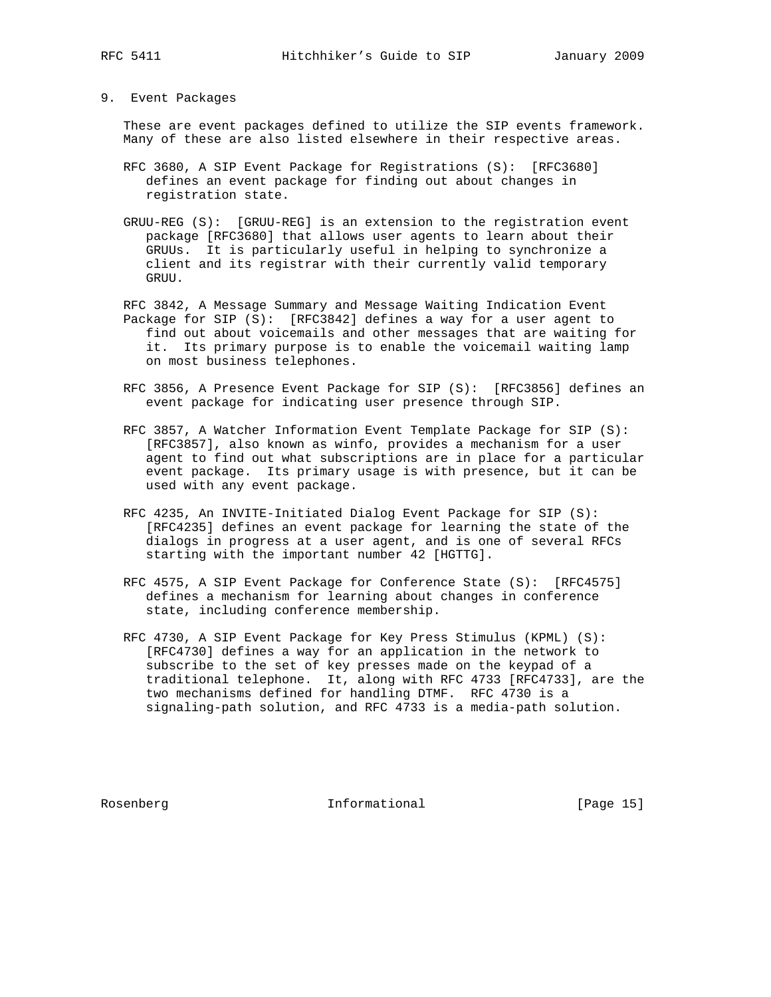#### 9. Event Packages

 These are event packages defined to utilize the SIP events framework. Many of these are also listed elsewhere in their respective areas.

- RFC 3680, A SIP Event Package for Registrations (S): [RFC3680] defines an event package for finding out about changes in registration state.
- GRUU-REG (S): [GRUU-REG] is an extension to the registration event package [RFC3680] that allows user agents to learn about their GRUUs. It is particularly useful in helping to synchronize a client and its registrar with their currently valid temporary GRUU.
- RFC 3842, A Message Summary and Message Waiting Indication Event Package for SIP (S): [RFC3842] defines a way for a user agent to find out about voicemails and other messages that are waiting for it. Its primary purpose is to enable the voicemail waiting lamp on most business telephones.
- RFC 3856, A Presence Event Package for SIP (S): [RFC3856] defines an event package for indicating user presence through SIP.
- RFC 3857, A Watcher Information Event Template Package for SIP (S): [RFC3857], also known as winfo, provides a mechanism for a user agent to find out what subscriptions are in place for a particular event package. Its primary usage is with presence, but it can be used with any event package.
- RFC 4235, An INVITE-Initiated Dialog Event Package for SIP (S): [RFC4235] defines an event package for learning the state of the dialogs in progress at a user agent, and is one of several RFCs starting with the important number 42 [HGTTG].
- RFC 4575, A SIP Event Package for Conference State (S): [RFC4575] defines a mechanism for learning about changes in conference state, including conference membership.
- RFC 4730, A SIP Event Package for Key Press Stimulus (KPML) (S): [RFC4730] defines a way for an application in the network to subscribe to the set of key presses made on the keypad of a traditional telephone. It, along with RFC 4733 [RFC4733], are the two mechanisms defined for handling DTMF. RFC 4730 is a signaling-path solution, and RFC 4733 is a media-path solution.

Rosenberg 15 Informational [Page 15]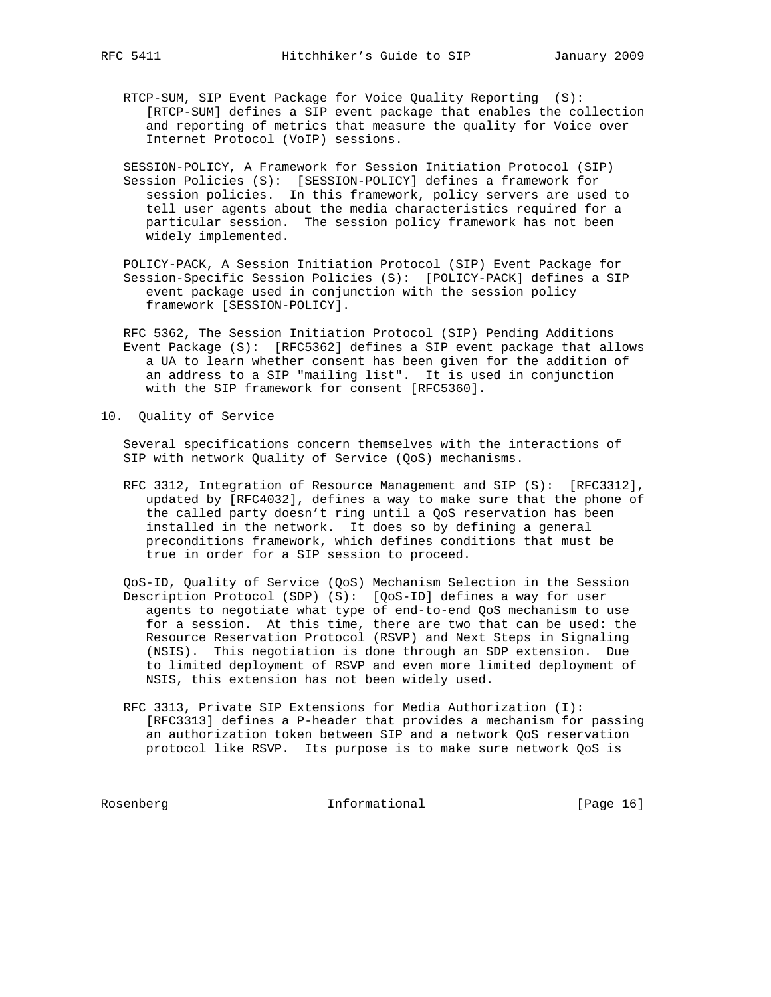- RTCP-SUM, SIP Event Package for Voice Quality Reporting (S): [RTCP-SUM] defines a SIP event package that enables the collection and reporting of metrics that measure the quality for Voice over Internet Protocol (VoIP) sessions.
- SESSION-POLICY, A Framework for Session Initiation Protocol (SIP) Session Policies (S): [SESSION-POLICY] defines a framework for session policies. In this framework, policy servers are used to tell user agents about the media characteristics required for a particular session. The session policy framework has not been widely implemented.
- POLICY-PACK, A Session Initiation Protocol (SIP) Event Package for Session-Specific Session Policies (S): [POLICY-PACK] defines a SIP event package used in conjunction with the session policy framework [SESSION-POLICY].
- RFC 5362, The Session Initiation Protocol (SIP) Pending Additions Event Package (S): [RFC5362] defines a SIP event package that allows a UA to learn whether consent has been given for the addition of an address to a SIP "mailing list". It is used in conjunction with the SIP framework for consent [RFC5360].
- 10. Quality of Service

 Several specifications concern themselves with the interactions of SIP with network Quality of Service (QoS) mechanisms.

- RFC 3312, Integration of Resource Management and SIP (S): [RFC3312], updated by [RFC4032], defines a way to make sure that the phone of the called party doesn't ring until a QoS reservation has been installed in the network. It does so by defining a general preconditions framework, which defines conditions that must be true in order for a SIP session to proceed.
- QoS-ID, Quality of Service (QoS) Mechanism Selection in the Session Description Protocol (SDP) (S): [QoS-ID] defines a way for user agents to negotiate what type of end-to-end QoS mechanism to use for a session. At this time, there are two that can be used: the Resource Reservation Protocol (RSVP) and Next Steps in Signaling (NSIS). This negotiation is done through an SDP extension. Due to limited deployment of RSVP and even more limited deployment of NSIS, this extension has not been widely used.
- RFC 3313, Private SIP Extensions for Media Authorization (I): [RFC3313] defines a P-header that provides a mechanism for passing an authorization token between SIP and a network QoS reservation protocol like RSVP. Its purpose is to make sure network QoS is

Rosenberg 16 Informational [Page 16]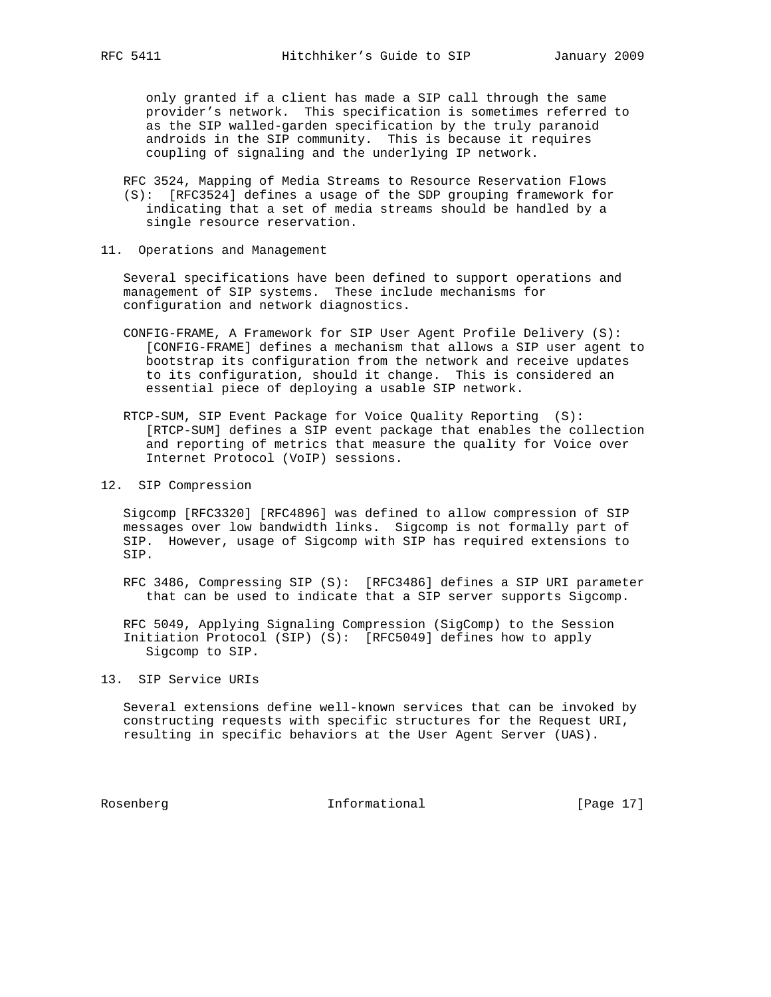only granted if a client has made a SIP call through the same provider's network. This specification is sometimes referred to as the SIP walled-garden specification by the truly paranoid androids in the SIP community. This is because it requires coupling of signaling and the underlying IP network.

 RFC 3524, Mapping of Media Streams to Resource Reservation Flows (S): [RFC3524] defines a usage of the SDP grouping framework for indicating that a set of media streams should be handled by a single resource reservation.

11. Operations and Management

 Several specifications have been defined to support operations and management of SIP systems. These include mechanisms for configuration and network diagnostics.

- CONFIG-FRAME, A Framework for SIP User Agent Profile Delivery (S): [CONFIG-FRAME] defines a mechanism that allows a SIP user agent to bootstrap its configuration from the network and receive updates to its configuration, should it change. This is considered an essential piece of deploying a usable SIP network.
- RTCP-SUM, SIP Event Package for Voice Quality Reporting (S): [RTCP-SUM] defines a SIP event package that enables the collection and reporting of metrics that measure the quality for Voice over Internet Protocol (VoIP) sessions.
- 12. SIP Compression

 Sigcomp [RFC3320] [RFC4896] was defined to allow compression of SIP messages over low bandwidth links. Sigcomp is not formally part of SIP. However, usage of Sigcomp with SIP has required extensions to SIP.

 RFC 3486, Compressing SIP (S): [RFC3486] defines a SIP URI parameter that can be used to indicate that a SIP server supports Sigcomp.

 RFC 5049, Applying Signaling Compression (SigComp) to the Session Initiation Protocol (SIP) (S): [RFC5049] defines how to apply Sigcomp to SIP.

13. SIP Service URIs

 Several extensions define well-known services that can be invoked by constructing requests with specific structures for the Request URI, resulting in specific behaviors at the User Agent Server (UAS).

Rosenberg 17 Informational [Page 17]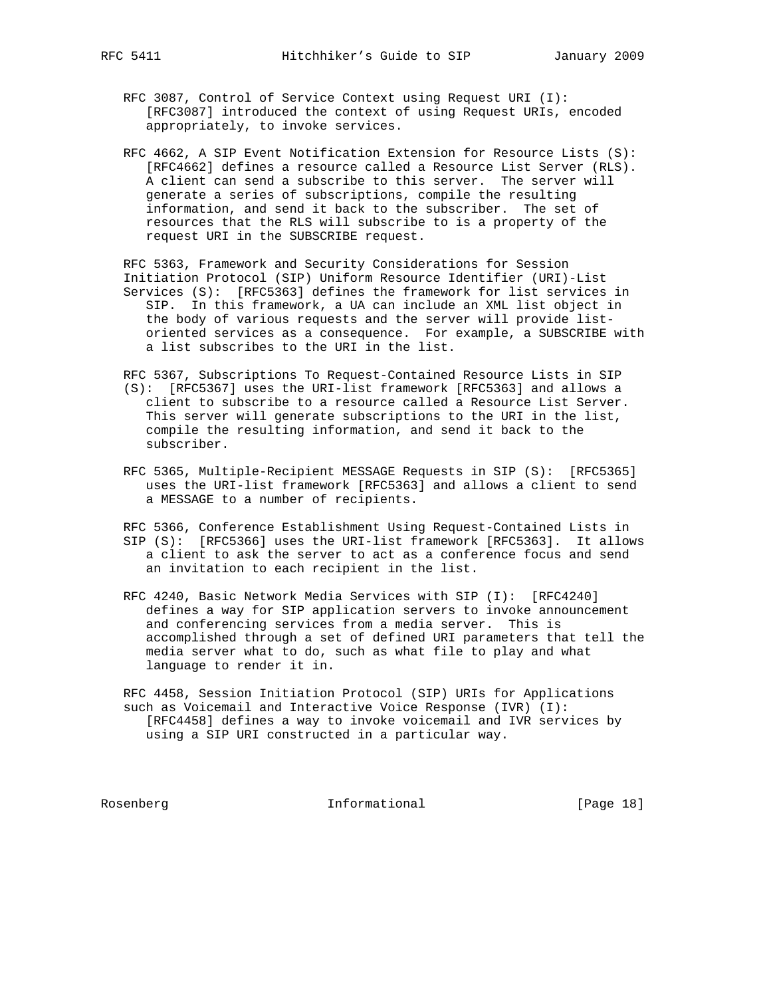- RFC 3087, Control of Service Context using Request URI (I): [RFC3087] introduced the context of using Request URIs, encoded appropriately, to invoke services.
- RFC 4662, A SIP Event Notification Extension for Resource Lists (S): [RFC4662] defines a resource called a Resource List Server (RLS). A client can send a subscribe to this server. The server will generate a series of subscriptions, compile the resulting information, and send it back to the subscriber. The set of resources that the RLS will subscribe to is a property of the request URI in the SUBSCRIBE request.

 RFC 5363, Framework and Security Considerations for Session Initiation Protocol (SIP) Uniform Resource Identifier (URI)-List Services (S): [RFC5363] defines the framework for list services in SIP. In this framework, a UA can include an XML list object in the body of various requests and the server will provide list oriented services as a consequence. For example, a SUBSCRIBE with a list subscribes to the URI in the list.

- RFC 5367, Subscriptions To Request-Contained Resource Lists in SIP (S): [RFC5367] uses the URI-list framework [RFC5363] and allows a client to subscribe to a resource called a Resource List Server. This server will generate subscriptions to the URI in the list, compile the resulting information, and send it back to the subscriber.
- RFC 5365, Multiple-Recipient MESSAGE Requests in SIP (S): [RFC5365] uses the URI-list framework [RFC5363] and allows a client to send a MESSAGE to a number of recipients.

 RFC 5366, Conference Establishment Using Request-Contained Lists in SIP (S): [RFC5366] uses the URI-list framework [RFC5363]. It allows a client to ask the server to act as a conference focus and send an invitation to each recipient in the list.

 RFC 4240, Basic Network Media Services with SIP (I): [RFC4240] defines a way for SIP application servers to invoke announcement and conferencing services from a media server. This is accomplished through a set of defined URI parameters that tell the media server what to do, such as what file to play and what language to render it in.

 RFC 4458, Session Initiation Protocol (SIP) URIs for Applications such as Voicemail and Interactive Voice Response (IVR) (I): [RFC4458] defines a way to invoke voicemail and IVR services by using a SIP URI constructed in a particular way.

Rosenberg 18 Informational [Page 18]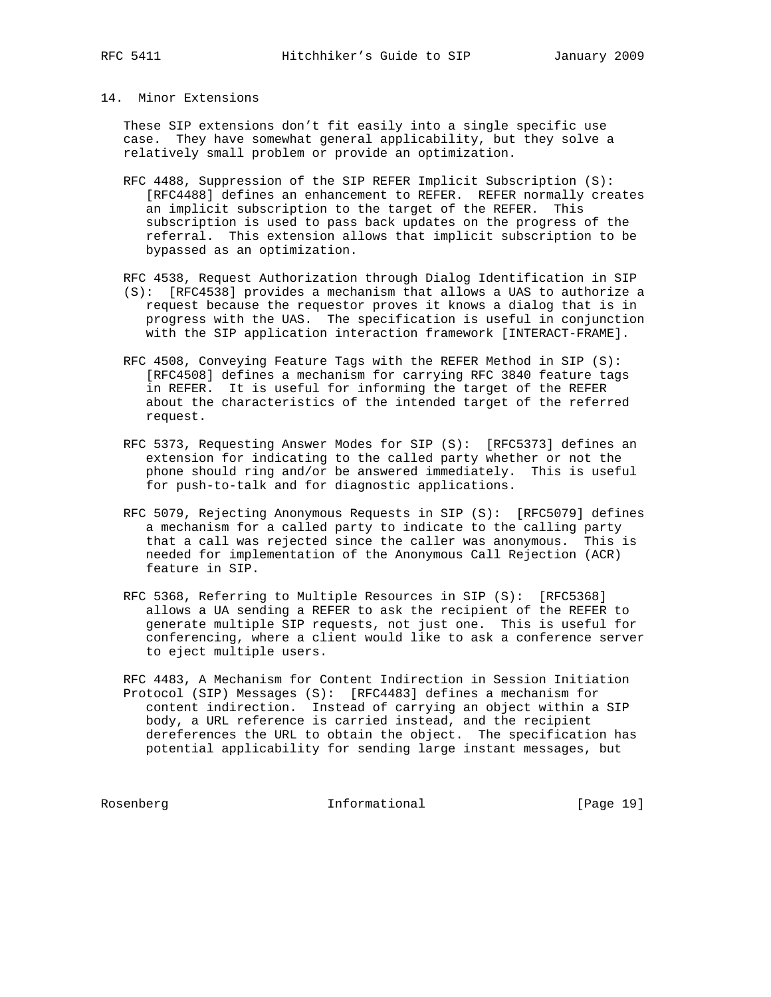### 14. Minor Extensions

 These SIP extensions don't fit easily into a single specific use case. They have somewhat general applicability, but they solve a relatively small problem or provide an optimization.

- RFC 4488, Suppression of the SIP REFER Implicit Subscription (S): [RFC4488] defines an enhancement to REFER. REFER normally creates an implicit subscription to the target of the REFER. This subscription is used to pass back updates on the progress of the referral. This extension allows that implicit subscription to be bypassed as an optimization.
- RFC 4538, Request Authorization through Dialog Identification in SIP (S): [RFC4538] provides a mechanism that allows a UAS to authorize a request because the requestor proves it knows a dialog that is in progress with the UAS. The specification is useful in conjunction with the SIP application interaction framework [INTERACT-FRAME].
- RFC 4508, Conveying Feature Tags with the REFER Method in SIP (S): [RFC4508] defines a mechanism for carrying RFC 3840 feature tags in REFER. It is useful for informing the target of the REFER about the characteristics of the intended target of the referred request.
- RFC 5373, Requesting Answer Modes for SIP (S): [RFC5373] defines an extension for indicating to the called party whether or not the phone should ring and/or be answered immediately. This is useful for push-to-talk and for diagnostic applications.
- RFC 5079, Rejecting Anonymous Requests in SIP (S): [RFC5079] defines a mechanism for a called party to indicate to the calling party that a call was rejected since the caller was anonymous. This is needed for implementation of the Anonymous Call Rejection (ACR) feature in SIP.
- RFC 5368, Referring to Multiple Resources in SIP (S): [RFC5368] allows a UA sending a REFER to ask the recipient of the REFER to generate multiple SIP requests, not just one. This is useful for conferencing, where a client would like to ask a conference server to eject multiple users.

 RFC 4483, A Mechanism for Content Indirection in Session Initiation Protocol (SIP) Messages (S): [RFC4483] defines a mechanism for content indirection. Instead of carrying an object within a SIP body, a URL reference is carried instead, and the recipient dereferences the URL to obtain the object. The specification has potential applicability for sending large instant messages, but

Rosenberg 19 Informational [Page 19]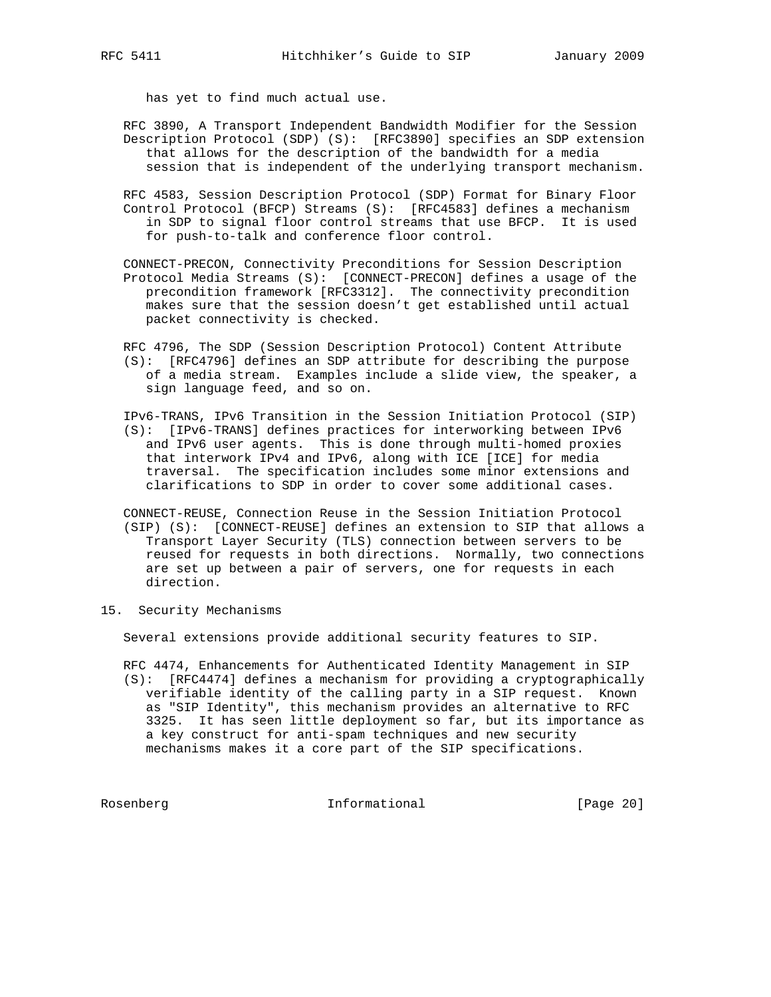has yet to find much actual use.

- RFC 3890, A Transport Independent Bandwidth Modifier for the Session Description Protocol (SDP) (S): [RFC3890] specifies an SDP extension that allows for the description of the bandwidth for a media session that is independent of the underlying transport mechanism.
- RFC 4583, Session Description Protocol (SDP) Format for Binary Floor Control Protocol (BFCP) Streams (S): [RFC4583] defines a mechanism in SDP to signal floor control streams that use BFCP. It is used for push-to-talk and conference floor control.
- CONNECT-PRECON, Connectivity Preconditions for Session Description Protocol Media Streams (S): [CONNECT-PRECON] defines a usage of the precondition framework [RFC3312]. The connectivity precondition makes sure that the session doesn't get established until actual packet connectivity is checked.
- RFC 4796, The SDP (Session Description Protocol) Content Attribute (S): [RFC4796] defines an SDP attribute for describing the purpose of a media stream. Examples include a slide view, the speaker, a sign language feed, and so on.
- IPv6-TRANS, IPv6 Transition in the Session Initiation Protocol (SIP) (S): [IPv6-TRANS] defines practices for interworking between IPv6 and IPv6 user agents. This is done through multi-homed proxies that interwork IPv4 and IPv6, along with ICE [ICE] for media traversal. The specification includes some minor extensions and clarifications to SDP in order to cover some additional cases.
- CONNECT-REUSE, Connection Reuse in the Session Initiation Protocol (SIP) (S): [CONNECT-REUSE] defines an extension to SIP that allows a Transport Layer Security (TLS) connection between servers to be reused for requests in both directions. Normally, two connections are set up between a pair of servers, one for requests in each direction.
- 15. Security Mechanisms

Several extensions provide additional security features to SIP.

 RFC 4474, Enhancements for Authenticated Identity Management in SIP (S): [RFC4474] defines a mechanism for providing a cryptographically verifiable identity of the calling party in a SIP request. Known as "SIP Identity", this mechanism provides an alternative to RFC 3325. It has seen little deployment so far, but its importance as a key construct for anti-spam techniques and new security mechanisms makes it a core part of the SIP specifications.

Rosenberg 1nformational [Page 20]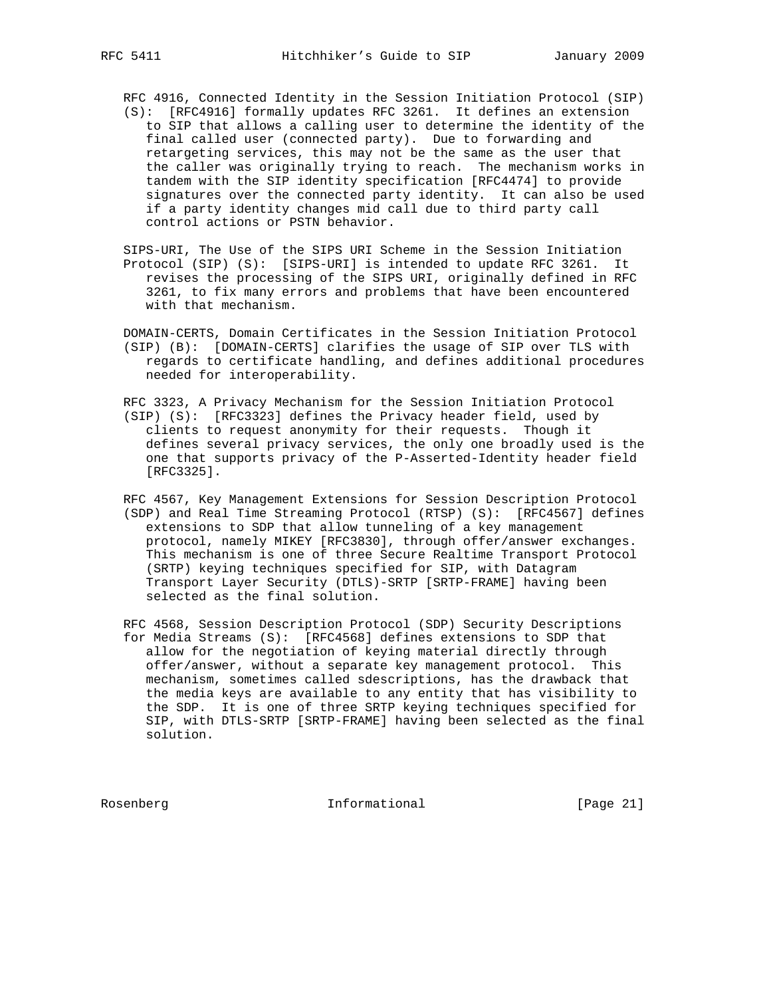RFC 4916, Connected Identity in the Session Initiation Protocol (SIP)

- (S): [RFC4916] formally updates RFC 3261. It defines an extension to SIP that allows a calling user to determine the identity of the final called user (connected party). Due to forwarding and retargeting services, this may not be the same as the user that the caller was originally trying to reach. The mechanism works in tandem with the SIP identity specification [RFC4474] to provide signatures over the connected party identity. It can also be used if a party identity changes mid call due to third party call control actions or PSTN behavior.
- SIPS-URI, The Use of the SIPS URI Scheme in the Session Initiation Protocol (SIP) (S): [SIPS-URI] is intended to update RFC 3261. It revises the processing of the SIPS URI, originally defined in RFC 3261, to fix many errors and problems that have been encountered with that mechanism.
- DOMAIN-CERTS, Domain Certificates in the Session Initiation Protocol (SIP) (B): [DOMAIN-CERTS] clarifies the usage of SIP over TLS with regards to certificate handling, and defines additional procedures needed for interoperability.
- RFC 3323, A Privacy Mechanism for the Session Initiation Protocol (SIP) (S): [RFC3323] defines the Privacy header field, used by clients to request anonymity for their requests. Though it defines several privacy services, the only one broadly used is the one that supports privacy of the P-Asserted-Identity header field [RFC3325].
- RFC 4567, Key Management Extensions for Session Description Protocol (SDP) and Real Time Streaming Protocol (RTSP) (S): [RFC4567] defines extensions to SDP that allow tunneling of a key management protocol, namely MIKEY [RFC3830], through offer/answer exchanges. This mechanism is one of three Secure Realtime Transport Protocol (SRTP) keying techniques specified for SIP, with Datagram Transport Layer Security (DTLS)-SRTP [SRTP-FRAME] having been selected as the final solution.
- RFC 4568, Session Description Protocol (SDP) Security Descriptions for Media Streams (S): [RFC4568] defines extensions to SDP that allow for the negotiation of keying material directly through offer/answer, without a separate key management protocol. This mechanism, sometimes called sdescriptions, has the drawback that the media keys are available to any entity that has visibility to the SDP. It is one of three SRTP keying techniques specified for SIP, with DTLS-SRTP [SRTP-FRAME] having been selected as the final solution.

Rosenberg 10 Informational [Page 21]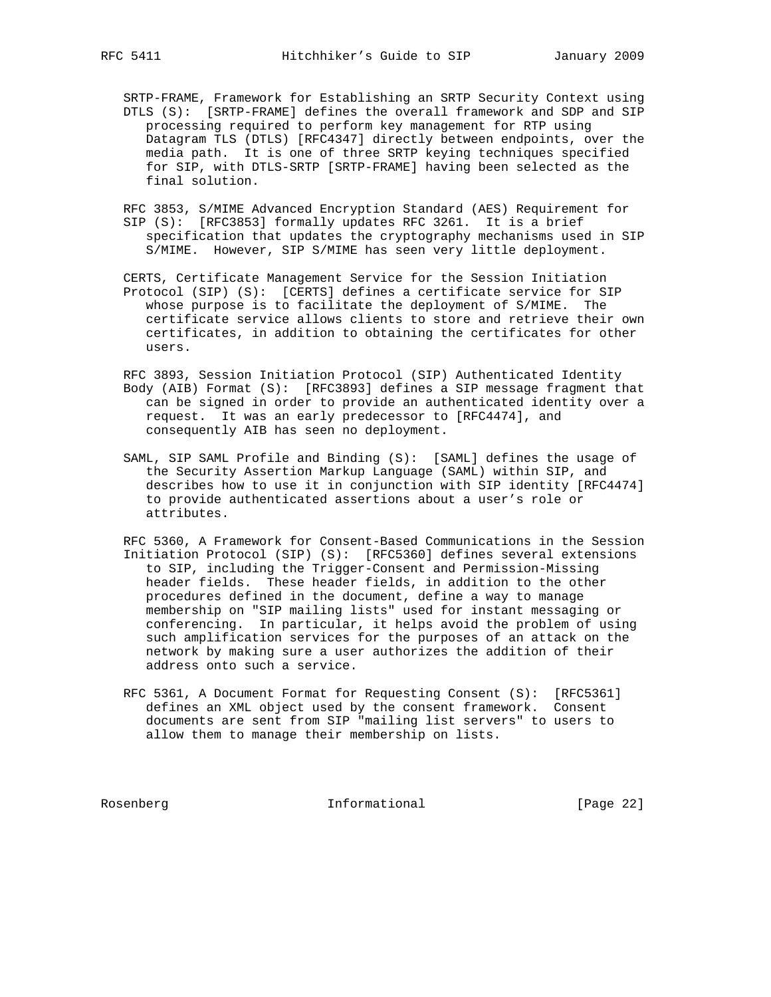SRTP-FRAME, Framework for Establishing an SRTP Security Context using DTLS (S): [SRTP-FRAME] defines the overall framework and SDP and SIP processing required to perform key management for RTP using Datagram TLS (DTLS) [RFC4347] directly between endpoints, over the media path. It is one of three SRTP keying techniques specified for SIP, with DTLS-SRTP [SRTP-FRAME] having been selected as the final solution.

 RFC 3853, S/MIME Advanced Encryption Standard (AES) Requirement for SIP (S): [RFC3853] formally updates RFC 3261. It is a brief specification that updates the cryptography mechanisms used in SIP S/MIME. However, SIP S/MIME has seen very little deployment.

 CERTS, Certificate Management Service for the Session Initiation Protocol (SIP) (S): [CERTS] defines a certificate service for SIP whose purpose is to facilitate the deployment of S/MIME. The certificate service allows clients to store and retrieve their own certificates, in addition to obtaining the certificates for other users.

 RFC 3893, Session Initiation Protocol (SIP) Authenticated Identity Body (AIB) Format (S): [RFC3893] defines a SIP message fragment that can be signed in order to provide an authenticated identity over a request. It was an early predecessor to [RFC4474], and consequently AIB has seen no deployment.

 SAML, SIP SAML Profile and Binding (S): [SAML] defines the usage of the Security Assertion Markup Language (SAML) within SIP, and describes how to use it in conjunction with SIP identity [RFC4474] to provide authenticated assertions about a user's role or attributes.

 RFC 5360, A Framework for Consent-Based Communications in the Session Initiation Protocol (SIP) (S): [RFC5360] defines several extensions to SIP, including the Trigger-Consent and Permission-Missing header fields. These header fields, in addition to the other procedures defined in the document, define a way to manage membership on "SIP mailing lists" used for instant messaging or conferencing. In particular, it helps avoid the problem of using such amplification services for the purposes of an attack on the network by making sure a user authorizes the addition of their address onto such a service.

 RFC 5361, A Document Format for Requesting Consent (S): [RFC5361] defines an XML object used by the consent framework. Consent documents are sent from SIP "mailing list servers" to users to allow them to manage their membership on lists.

Rosenberg 10 Informational [Page 22]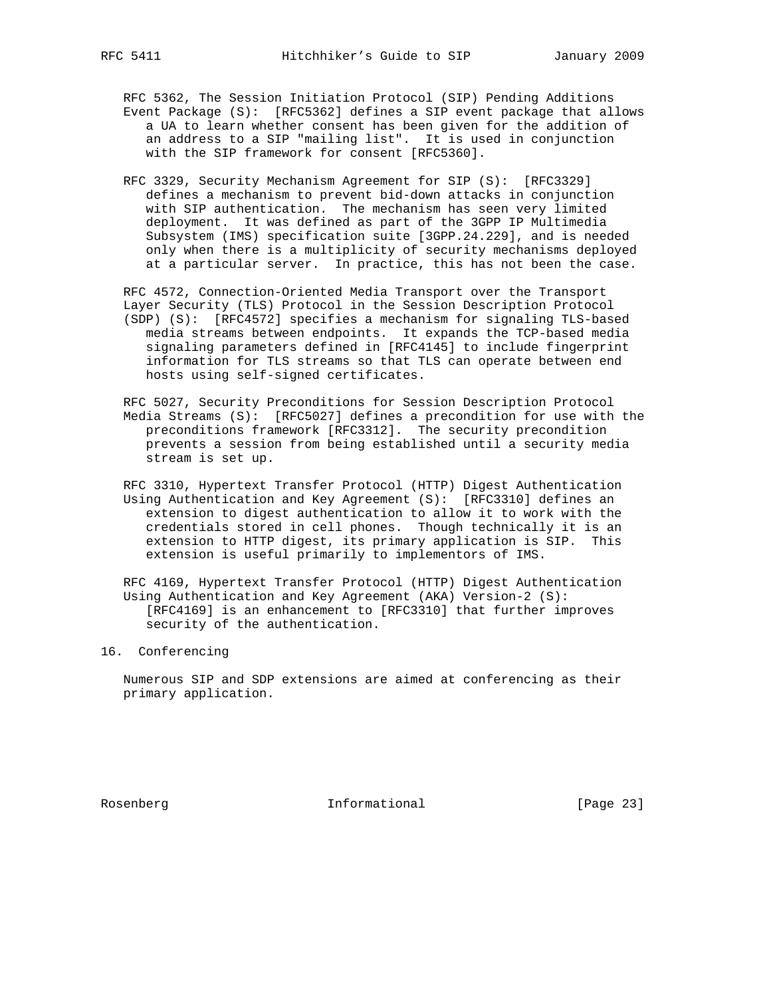RFC 5362, The Session Initiation Protocol (SIP) Pending Additions Event Package (S): [RFC5362] defines a SIP event package that allows a UA to learn whether consent has been given for the addition of an address to a SIP "mailing list". It is used in conjunction with the SIP framework for consent [RFC5360].

 RFC 3329, Security Mechanism Agreement for SIP (S): [RFC3329] defines a mechanism to prevent bid-down attacks in conjunction with SIP authentication. The mechanism has seen very limited deployment. It was defined as part of the 3GPP IP Multimedia Subsystem (IMS) specification suite [3GPP.24.229], and is needed only when there is a multiplicity of security mechanisms deployed at a particular server. In practice, this has not been the case.

 RFC 4572, Connection-Oriented Media Transport over the Transport Layer Security (TLS) Protocol in the Session Description Protocol (SDP) (S): [RFC4572] specifies a mechanism for signaling TLS-based media streams between endpoints. It expands the TCP-based media signaling parameters defined in [RFC4145] to include fingerprint information for TLS streams so that TLS can operate between end hosts using self-signed certificates.

 RFC 5027, Security Preconditions for Session Description Protocol Media Streams (S): [RFC5027] defines a precondition for use with the preconditions framework [RFC3312]. The security precondition prevents a session from being established until a security media stream is set up.

 RFC 3310, Hypertext Transfer Protocol (HTTP) Digest Authentication Using Authentication and Key Agreement (S): [RFC3310] defines an extension to digest authentication to allow it to work with the credentials stored in cell phones. Though technically it is an extension to HTTP digest, its primary application is SIP. This extension is useful primarily to implementors of IMS.

 RFC 4169, Hypertext Transfer Protocol (HTTP) Digest Authentication Using Authentication and Key Agreement (AKA) Version-2 (S): [RFC4169] is an enhancement to [RFC3310] that further improves security of the authentication.

16. Conferencing

 Numerous SIP and SDP extensions are aimed at conferencing as their primary application.

Rosenberg 1nformational [Page 23]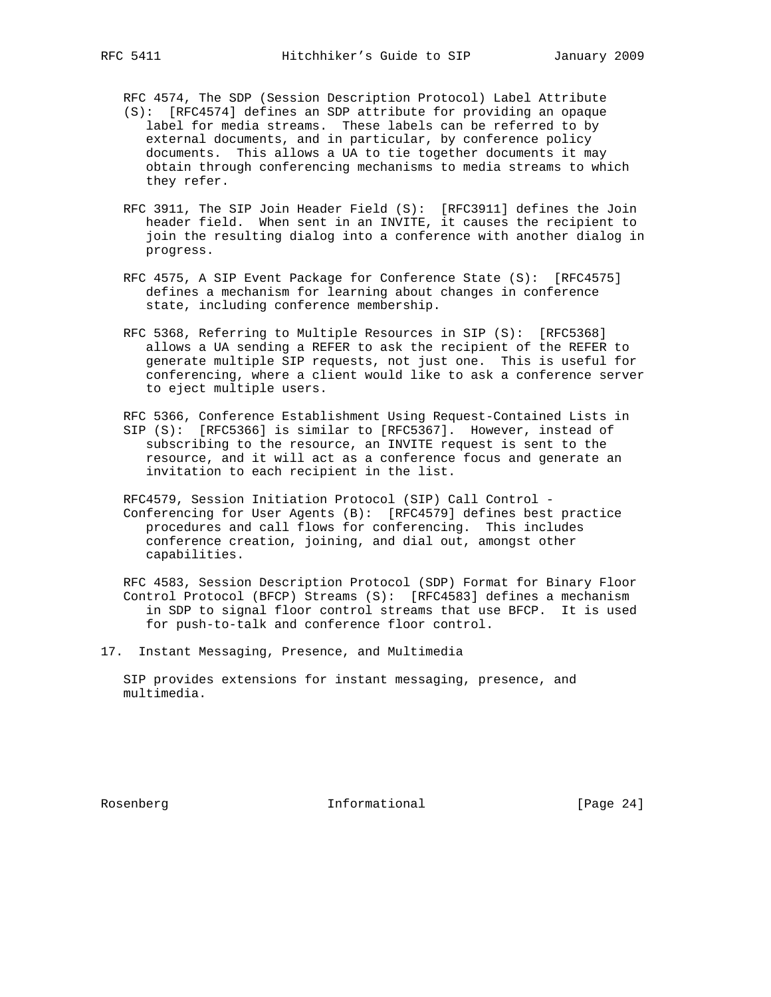RFC 4574, The SDP (Session Description Protocol) Label Attribute

- (S): [RFC4574] defines an SDP attribute for providing an opaque label for media streams. These labels can be referred to by external documents, and in particular, by conference policy documents. This allows a UA to tie together documents it may obtain through conferencing mechanisms to media streams to which they refer.
- RFC 3911, The SIP Join Header Field (S): [RFC3911] defines the Join header field. When sent in an INVITE, it causes the recipient to join the resulting dialog into a conference with another dialog in progress.
- RFC 4575, A SIP Event Package for Conference State (S): [RFC4575] defines a mechanism for learning about changes in conference state, including conference membership.
- RFC 5368, Referring to Multiple Resources in SIP (S): [RFC5368] allows a UA sending a REFER to ask the recipient of the REFER to generate multiple SIP requests, not just one. This is useful for conferencing, where a client would like to ask a conference server to eject multiple users.
- RFC 5366, Conference Establishment Using Request-Contained Lists in SIP (S): [RFC5366] is similar to [RFC5367]. However, instead of subscribing to the resource, an INVITE request is sent to the resource, and it will act as a conference focus and generate an invitation to each recipient in the list.
- RFC4579, Session Initiation Protocol (SIP) Call Control Conferencing for User Agents (B): [RFC4579] defines best practice procedures and call flows for conferencing. This includes conference creation, joining, and dial out, amongst other capabilities.

 RFC 4583, Session Description Protocol (SDP) Format for Binary Floor Control Protocol (BFCP) Streams (S): [RFC4583] defines a mechanism in SDP to signal floor control streams that use BFCP. It is used for push-to-talk and conference floor control.

17. Instant Messaging, Presence, and Multimedia

 SIP provides extensions for instant messaging, presence, and multimedia.

Rosenberg 1nformational [Page 24]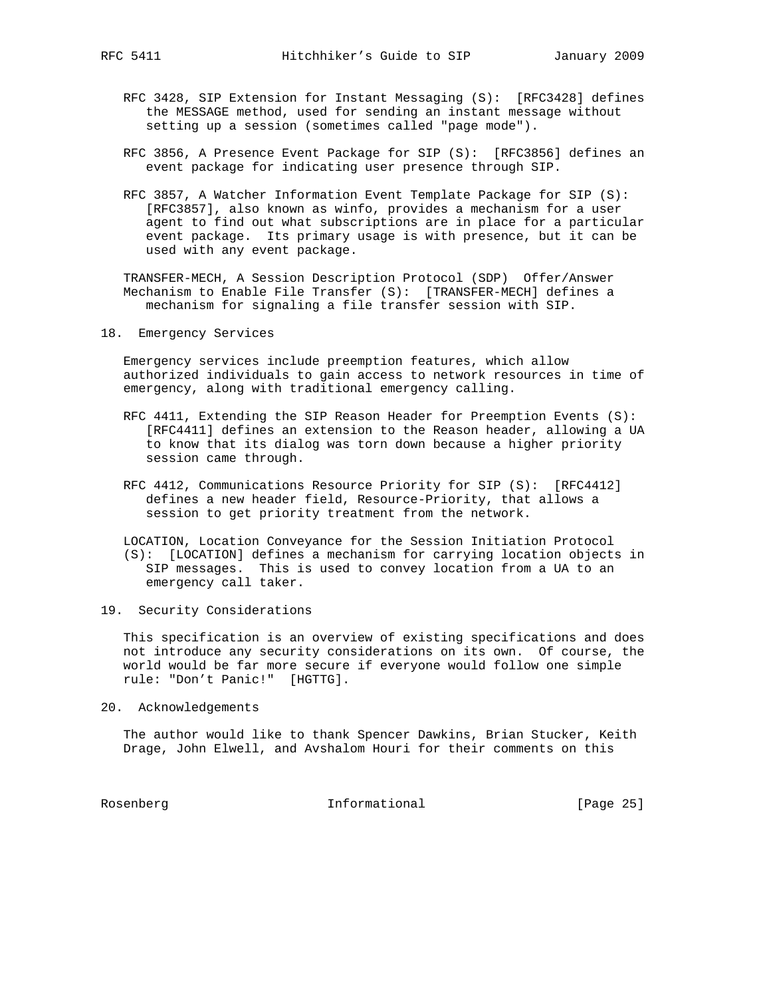- RFC 3428, SIP Extension for Instant Messaging (S): [RFC3428] defines the MESSAGE method, used for sending an instant message without setting up a session (sometimes called "page mode").
- RFC 3856, A Presence Event Package for SIP (S): [RFC3856] defines an event package for indicating user presence through SIP.
- RFC 3857, A Watcher Information Event Template Package for SIP (S): [RFC3857], also known as winfo, provides a mechanism for a user agent to find out what subscriptions are in place for a particular event package. Its primary usage is with presence, but it can be used with any event package.

 TRANSFER-MECH, A Session Description Protocol (SDP) Offer/Answer Mechanism to Enable File Transfer (S): [TRANSFER-MECH] defines a mechanism for signaling a file transfer session with SIP.

18. Emergency Services

 Emergency services include preemption features, which allow authorized individuals to gain access to network resources in time of emergency, along with traditional emergency calling.

- RFC 4411, Extending the SIP Reason Header for Preemption Events (S): [RFC4411] defines an extension to the Reason header, allowing a UA to know that its dialog was torn down because a higher priority session came through.
- RFC 4412, Communications Resource Priority for SIP (S): [RFC4412] defines a new header field, Resource-Priority, that allows a session to get priority treatment from the network.
- LOCATION, Location Conveyance for the Session Initiation Protocol (S): [LOCATION] defines a mechanism for carrying location objects in SIP messages. This is used to convey location from a UA to an emergency call taker.
- 19. Security Considerations

 This specification is an overview of existing specifications and does not introduce any security considerations on its own. Of course, the world would be far more secure if everyone would follow one simple rule: "Don't Panic!" [HGTTG].

20. Acknowledgements

 The author would like to thank Spencer Dawkins, Brian Stucker, Keith Drage, John Elwell, and Avshalom Houri for their comments on this

Rosenberg 1nformational [Page 25]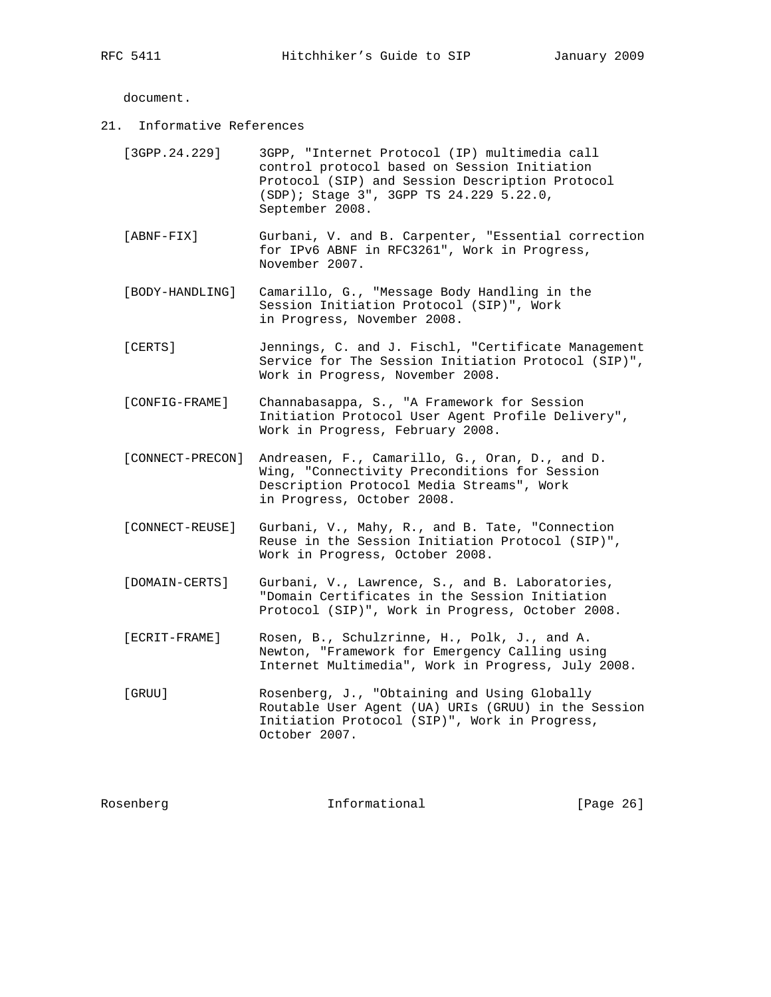document.

21. Informative References

| [3GPP.24.229]    | 3GPP, "Internet Protocol (IP) multimedia call<br>control protocol based on Session Initiation<br>Protocol (SIP) and Session Description Protocol<br>(SDP); Stage 3", 3GPP TS 24.229 5.22.0,<br>September 2008. |
|------------------|----------------------------------------------------------------------------------------------------------------------------------------------------------------------------------------------------------------|
| $[ABNF-FIX]$     | Gurbani, V. and B. Carpenter, "Essential correction<br>for IPv6 ABNF in RFC3261", Work in Progress,<br>November 2007.                                                                                          |
| [BODY-HANDLING]  | Camarillo, G., "Message Body Handling in the<br>Session Initiation Protocol (SIP)", Work<br>in Progress, November 2008.                                                                                        |
| [CERTS]          | Jennings, C. and J. Fischl, "Certificate Management<br>Service for The Session Initiation Protocol (SIP)",<br>Work in Progress, November 2008.                                                                 |
| [CONFIG-FRAME]   | Channabasappa, S., "A Framework for Session<br>Initiation Protocol User Agent Profile Delivery",<br>Work in Progress, February 2008.                                                                           |
| [CONNECT-PRECON] | Andreasen, F., Camarillo, G., Oran, D., and D.<br>Wing, "Connectivity Preconditions for Session<br>Description Protocol Media Streams", Work<br>in Progress, October 2008.                                     |
| [CONNECT-REUSE]  | Gurbani, V., Mahy, R., and B. Tate, "Connection<br>Reuse in the Session Initiation Protocol (SIP)",<br>Work in Progress, October 2008.                                                                         |
| [DOMAIN-CERTS]   | Gurbani, V., Lawrence, S., and B. Laboratories,<br>"Domain Certificates in the Session Initiation<br>Protocol (SIP)", Work in Progress, October 2008.                                                          |
| [ECRIT-FRAME]    | Rosen, B., Schulzrinne, H., Polk, J., and A.<br>Newton, "Framework for Emergency Calling using<br>Internet Multimedia", Work in Progress, July 2008.                                                           |
| [GRUU]           | Rosenberg, J., "Obtaining and Using Globally<br>Routable User Agent (UA) URIs (GRUU) in the Session<br>Initiation Protocol (SIP)", Work in Progress,<br>October 2007.                                          |

Rosenberg 10 Informational [Page 26]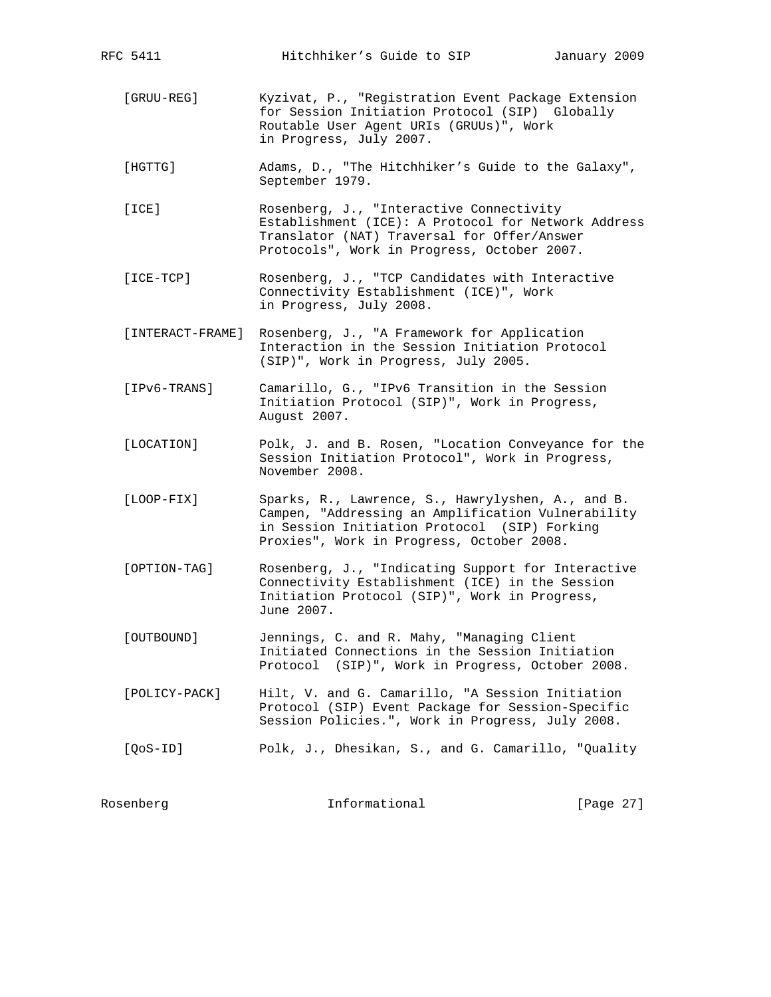- [GRUU-REG] Kyzivat, P., "Registration Event Package Extension for Session Initiation Protocol (SIP) Globally Routable User Agent URIs (GRUUs)", Work in Progress, July 2007.
- [HGTTG] Adams, D., "The Hitchhiker's Guide to the Galaxy", September 1979.
- [ICE] Rosenberg, J., "Interactive Connectivity Establishment (ICE): A Protocol for Network Address Translator (NAT) Traversal for Offer/Answer Protocols", Work in Progress, October 2007.
- [ICE-TCP] Rosenberg, J., "TCP Candidates with Interactive Connectivity Establishment (ICE)", Work in Progress, July 2008.
- [INTERACT-FRAME] Rosenberg, J., "A Framework for Application Interaction in the Session Initiation Protocol (SIP)", Work in Progress, July 2005.
- [IPv6-TRANS] Camarillo, G., "IPv6 Transition in the Session Initiation Protocol (SIP)", Work in Progress, August 2007.
- [LOCATION] Polk, J. and B. Rosen, "Location Conveyance for the Session Initiation Protocol", Work in Progress, November 2008.
- [LOOP-FIX] Sparks, R., Lawrence, S., Hawrylyshen, A., and B. Campen, "Addressing an Amplification Vulnerability in Session Initiation Protocol (SIP) Forking Proxies", Work in Progress, October 2008.
- [OPTION-TAG] Rosenberg, J., "Indicating Support for Interactive Connectivity Establishment (ICE) in the Session Initiation Protocol (SIP)", Work in Progress, June 2007.
- [OUTBOUND] Jennings, C. and R. Mahy, "Managing Client Initiated Connections in the Session Initiation Protocol (SIP)", Work in Progress, October 2008.
- [POLICY-PACK] Hilt, V. and G. Camarillo, "A Session Initiation Protocol (SIP) Event Package for Session-Specific Session Policies.", Work in Progress, July 2008.
- [QoS-ID] Polk, J., Dhesikan, S., and G. Camarillo, "Quality

| [Page 27]<br>Informational<br>Rosenberg |  |  |  |
|-----------------------------------------|--|--|--|
|-----------------------------------------|--|--|--|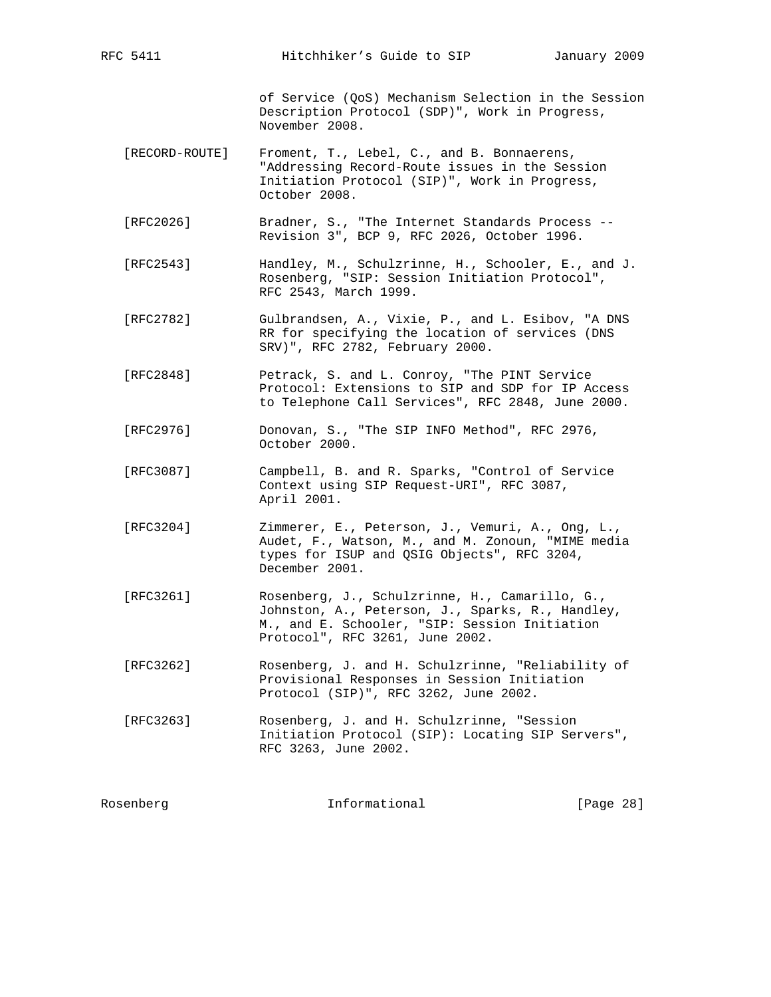of Service (QoS) Mechanism Selection in the Session Description Protocol (SDP)", Work in Progress, November 2008.

- [RECORD-ROUTE] Froment, T., Lebel, C., and B. Bonnaerens, "Addressing Record-Route issues in the Session Initiation Protocol (SIP)", Work in Progress, October 2008.
- [RFC2026] Bradner, S., "The Internet Standards Process -- Revision 3", BCP 9, RFC 2026, October 1996.
- [RFC2543] Handley, M., Schulzrinne, H., Schooler, E., and J. Rosenberg, "SIP: Session Initiation Protocol", RFC 2543, March 1999.
- [RFC2782] Gulbrandsen, A., Vixie, P., and L. Esibov, "A DNS RR for specifying the location of services (DNS SRV)", RFC 2782, February 2000.
- [RFC2848] Petrack, S. and L. Conroy, "The PINT Service Protocol: Extensions to SIP and SDP for IP Access to Telephone Call Services", RFC 2848, June 2000.
- [RFC2976] Donovan, S., "The SIP INFO Method", RFC 2976, October 2000.
- [RFC3087] Campbell, B. and R. Sparks, "Control of Service Context using SIP Request-URI", RFC 3087, April 2001.
- [RFC3204] Zimmerer, E., Peterson, J., Vemuri, A., Ong, L., Audet, F., Watson, M., and M. Zonoun, "MIME media types for ISUP and QSIG Objects", RFC 3204, December 2001.
- [RFC3261] Rosenberg, J., Schulzrinne, H., Camarillo, G., Johnston, A., Peterson, J., Sparks, R., Handley, M., and E. Schooler, "SIP: Session Initiation Protocol", RFC 3261, June 2002.
- [RFC3262] Rosenberg, J. and H. Schulzrinne, "Reliability of Provisional Responses in Session Initiation Protocol (SIP)", RFC 3262, June 2002.
- [RFC3263] Rosenberg, J. and H. Schulzrinne, "Session Initiation Protocol (SIP): Locating SIP Servers", RFC 3263, June 2002.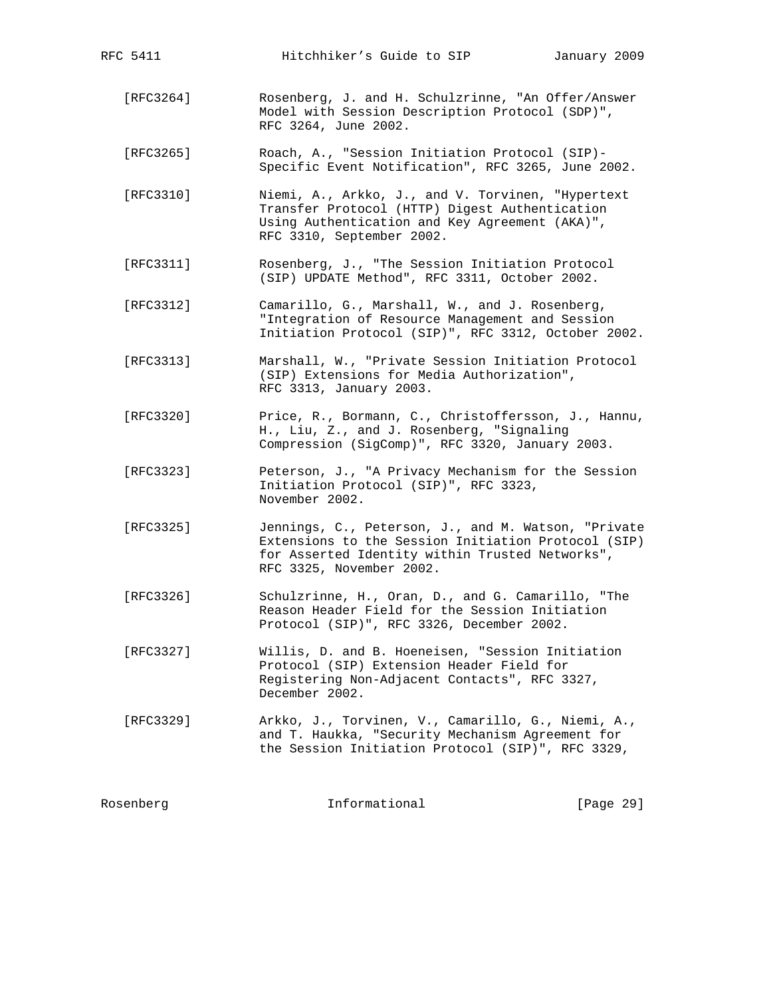| [RFC3264] | Rosenberg, J. and H. Schulzrinne, "An Offer/Answer<br>Model with Session Description Protocol (SDP)",<br>RFC 3264, June 2002.                                                             |
|-----------|-------------------------------------------------------------------------------------------------------------------------------------------------------------------------------------------|
| [RFC3265] | Roach, A., "Session Initiation Protocol (SIP)-<br>Specific Event Notification", RFC 3265, June 2002.                                                                                      |
| [REC3310] | Niemi, A., Arkko, J., and V. Torvinen, "Hypertext<br>Transfer Protocol (HTTP) Digest Authentication<br>Using Authentication and Key Agreement (AKA)",<br>RFC 3310, September 2002.        |
| [REC3311] | Rosenberg, J., "The Session Initiation Protocol<br>(SIP) UPDATE Method", RFC 3311, October 2002.                                                                                          |
| [RFC3312] | Camarillo, G., Marshall, W., and J. Rosenberg,<br>"Integration of Resource Management and Session<br>Initiation Protocol (SIP)", RFC 3312, October 2002.                                  |
| [RFC3313] | Marshall, W., "Private Session Initiation Protocol<br>(SIP) Extensions for Media Authorization",<br>RFC 3313, January 2003.                                                               |
| [RFC3320] | Price, R., Bormann, C., Christoffersson, J., Hannu,<br>H., Liu, Z., and J. Rosenberg, "Signaling<br>Compression (SigComp)", RFC 3320, January 2003.                                       |
| [RFC3323] | Peterson, J., "A Privacy Mechanism for the Session<br>Initiation Protocol (SIP)", RFC 3323,<br>November 2002.                                                                             |
| [RFC3325] | Jennings, C., Peterson, J., and M. Watson, "Private<br>Extensions to the Session Initiation Protocol (SIP)<br>for Asserted Identity within Trusted Networks",<br>RFC 3325, November 2002. |
| [RFC3326] | Schulzrinne, H., Oran, D., and G. Camarillo, "The<br>Reason Header Field for the Session Initiation<br>Protocol (SIP)", RFC 3326, December 2002.                                          |
| [RFC3327] | Willis, D. and B. Hoeneisen, "Session Initiation<br>Protocol (SIP) Extension Header Field for<br>Registering Non-Adjacent Contacts", RFC 3327,<br>December 2002.                          |
| [RFC3329] | Arkko, J., Torvinen, V., Camarillo, G., Niemi, A.,<br>and T. Haukka, "Security Mechanism Agreement for<br>the Session Initiation Protocol (SIP)", RFC 3329,                               |
| Rosenberg | Informational<br>[Page 29]                                                                                                                                                                |

RFC 5411 Hitchhiker's Guide to SIP January 2009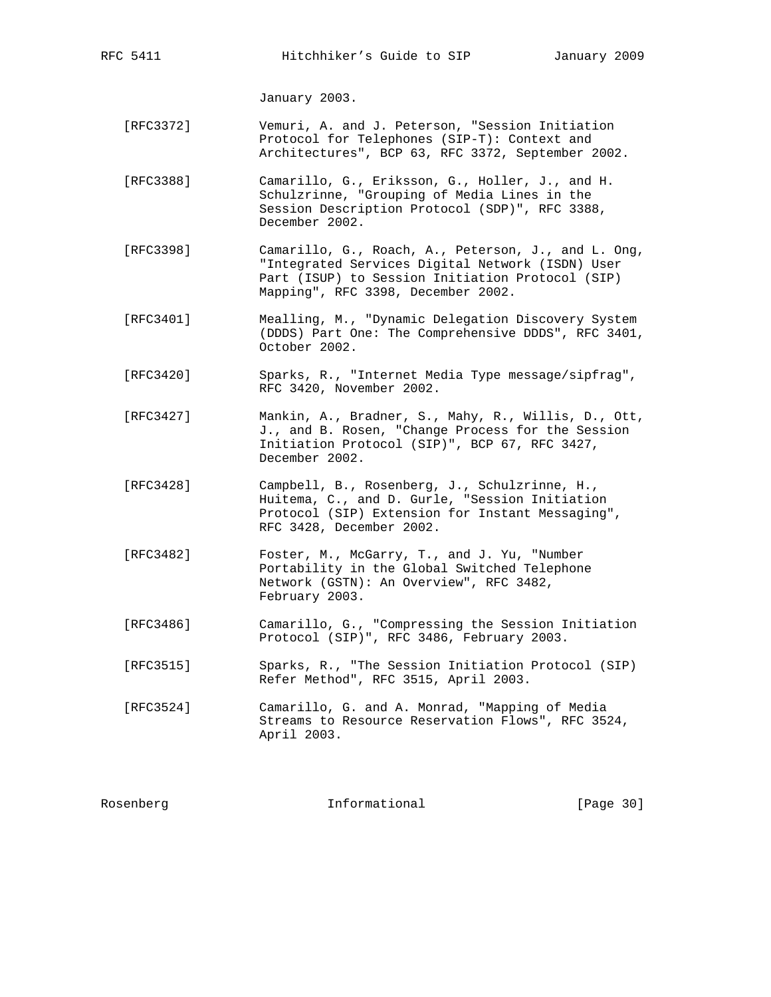January 2003.

- [RFC3372] Vemuri, A. and J. Peterson, "Session Initiation Protocol for Telephones (SIP-T): Context and Architectures", BCP 63, RFC 3372, September 2002.
- [RFC3388] Camarillo, G., Eriksson, G., Holler, J., and H. Schulzrinne, "Grouping of Media Lines in the Session Description Protocol (SDP)", RFC 3388, December 2002.
- [RFC3398] Camarillo, G., Roach, A., Peterson, J., and L. Ong, "Integrated Services Digital Network (ISDN) User Part (ISUP) to Session Initiation Protocol (SIP) Mapping", RFC 3398, December 2002.
- [RFC3401] Mealling, M., "Dynamic Delegation Discovery System (DDDS) Part One: The Comprehensive DDDS", RFC 3401, October 2002.
- [RFC3420] Sparks, R., "Internet Media Type message/sipfrag", RFC 3420, November 2002.
- [RFC3427] Mankin, A., Bradner, S., Mahy, R., Willis, D., Ott, J., and B. Rosen, "Change Process for the Session Initiation Protocol (SIP)", BCP 67, RFC 3427, December 2002.
- [RFC3428] Campbell, B., Rosenberg, J., Schulzrinne, H., Huitema, C., and D. Gurle, "Session Initiation Protocol (SIP) Extension for Instant Messaging", RFC 3428, December 2002.
- [RFC3482] Foster, M., McGarry, T., and J. Yu, "Number Portability in the Global Switched Telephone Network (GSTN): An Overview", RFC 3482, February 2003.
- [RFC3486] Camarillo, G., "Compressing the Session Initiation Protocol (SIP)", RFC 3486, February 2003.
- [RFC3515] Sparks, R., "The Session Initiation Protocol (SIP) Refer Method", RFC 3515, April 2003.
- [RFC3524] Camarillo, G. and A. Monrad, "Mapping of Media Streams to Resource Reservation Flows", RFC 3524, April 2003.

| Rosenberg | Informational | [Page 30] |  |
|-----------|---------------|-----------|--|
|           |               |           |  |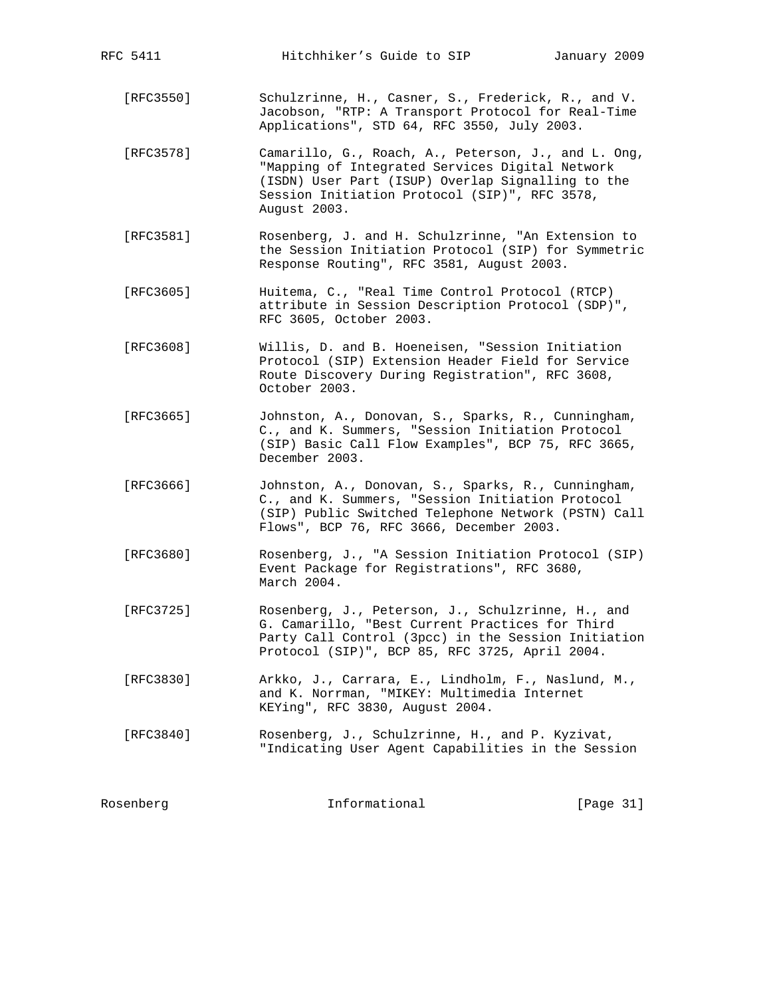| [RFC3550] | Schulzrinne, H., Casner, S., Frederick, R., and V.<br>Jacobson, "RTP: A Transport Protocol for Real-Time<br>Applications", STD 64, RFC 3550, July 2003.                                                                      |           |
|-----------|------------------------------------------------------------------------------------------------------------------------------------------------------------------------------------------------------------------------------|-----------|
| [RFC3578] | Camarillo, G., Roach, A., Peterson, J., and L. Ong,<br>"Mapping of Integrated Services Digital Network<br>(ISDN) User Part (ISUP) Overlap Signalling to the<br>Session Initiation Protocol (SIP)", RFC 3578,<br>August 2003. |           |
| [RFC3581] | Rosenberg, J. and H. Schulzrinne, "An Extension to<br>the Session Initiation Protocol (SIP) for Symmetric<br>Response Routing", RFC 3581, August 2003.                                                                       |           |
| [REC3605] | Huitema, C., "Real Time Control Protocol (RTCP)<br>attribute in Session Description Protocol (SDP)",<br>RFC 3605, October 2003.                                                                                              |           |
| [RFC3608] | Willis, D. and B. Hoeneisen, "Session Initiation<br>Protocol (SIP) Extension Header Field for Service<br>Route Discovery During Registration", RFC 3608,<br>October 2003.                                                    |           |
| [REC3665] | Johnston, A., Donovan, S., Sparks, R., Cunningham,<br>C., and K. Summers, "Session Initiation Protocol<br>(SIP) Basic Call Flow Examples", BCP 75, RFC 3665,<br>December 2003.                                               |           |
| [REC3666] | Johnston, A., Donovan, S., Sparks, R., Cunningham,<br>C., and K. Summers, "Session Initiation Protocol<br>(SIP) Public Switched Telephone Network (PSTN) Call<br>Flows", BCP 76, RFC 3666, December 2003.                    |           |
| [REC3680] | Rosenberg, J., "A Session Initiation Protocol (SIP)<br>Event Package for Registrations", RFC 3680,<br>March 2004.                                                                                                            |           |
| [RFC3725] | Rosenberg, J., Peterson, J., Schulzrinne, H., and<br>G. Camarillo, "Best Current Practices for Third<br>Party Call Control (3pcc) in the Session Initiation<br>Protocol (SIP)", BCP 85, RFC 3725, April 2004.                |           |
| [RFC3830] | Arkko, J., Carrara, E., Lindholm, F., Naslund, M.,<br>and K. Norrman, "MIKEY: Multimedia Internet<br>KEYing", RFC 3830, August 2004.                                                                                         |           |
| [RFC3840] | Rosenberg, J., Schulzrinne, H., and P. Kyzivat,<br>"Indicating User Agent Capabilities in the Session                                                                                                                        |           |
| Rosenberg | Informational                                                                                                                                                                                                                | [Page 31] |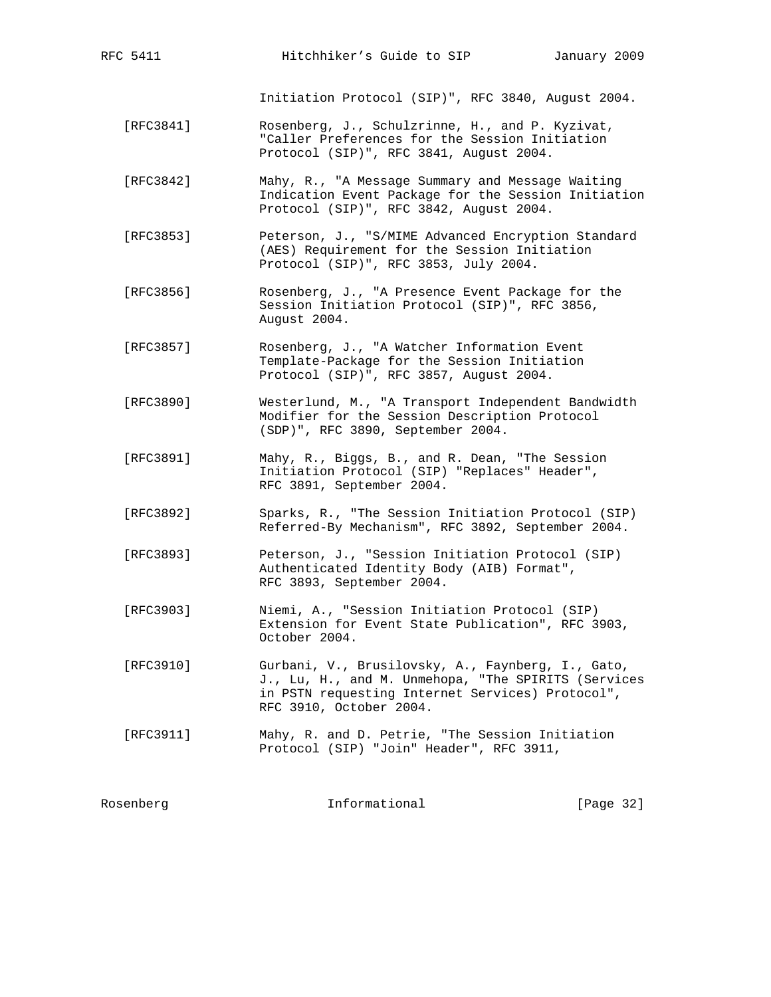Initiation Protocol (SIP)", RFC 3840, August 2004.

- [RFC3841] Rosenberg, J., Schulzrinne, H., and P. Kyzivat, "Caller Preferences for the Session Initiation Protocol (SIP)", RFC 3841, August 2004.
- [RFC3842] Mahy, R., "A Message Summary and Message Waiting Indication Event Package for the Session Initiation Protocol (SIP)", RFC 3842, August 2004.
- [RFC3853] Peterson, J., "S/MIME Advanced Encryption Standard (AES) Requirement for the Session Initiation Protocol (SIP)", RFC 3853, July 2004.
- [RFC3856] Rosenberg, J., "A Presence Event Package for the Session Initiation Protocol (SIP)", RFC 3856, August 2004.
- [RFC3857] Rosenberg, J., "A Watcher Information Event Template-Package for the Session Initiation Protocol (SIP)", RFC 3857, August 2004.
- [RFC3890] Westerlund, M., "A Transport Independent Bandwidth Modifier for the Session Description Protocol (SDP)", RFC 3890, September 2004.
- [RFC3891] Mahy, R., Biggs, B., and R. Dean, "The Session Initiation Protocol (SIP) "Replaces" Header", RFC 3891, September 2004.
- [RFC3892] Sparks, R., "The Session Initiation Protocol (SIP) Referred-By Mechanism", RFC 3892, September 2004.
- [RFC3893] Peterson, J., "Session Initiation Protocol (SIP) Authenticated Identity Body (AIB) Format", RFC 3893, September 2004.
- [RFC3903] Niemi, A., "Session Initiation Protocol (SIP) Extension for Event State Publication", RFC 3903, October 2004.
- [RFC3910] Gurbani, V., Brusilovsky, A., Faynberg, I., Gato, J., Lu, H., and M. Unmehopa, "The SPIRITS (Services in PSTN requesting Internet Services) Protocol", RFC 3910, October 2004.
- [RFC3911] Mahy, R. and D. Petrie, "The Session Initiation Protocol (SIP) "Join" Header", RFC 3911,

| Rosenberg | Informational | [Page 32] |
|-----------|---------------|-----------|
|           |               |           |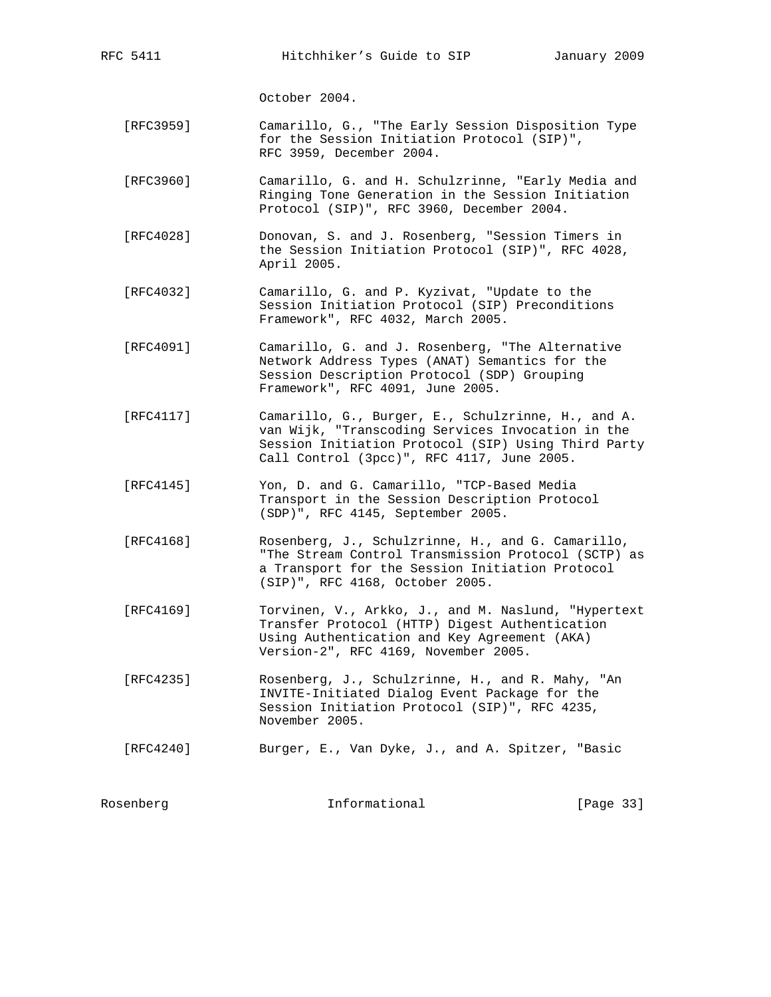October 2004.

- [RFC3959] Camarillo, G., "The Early Session Disposition Type for the Session Initiation Protocol (SIP)", RFC 3959, December 2004.
- [RFC3960] Camarillo, G. and H. Schulzrinne, "Early Media and Ringing Tone Generation in the Session Initiation Protocol (SIP)", RFC 3960, December 2004.
- [RFC4028] Donovan, S. and J. Rosenberg, "Session Timers in the Session Initiation Protocol (SIP)", RFC 4028, April 2005.
- [RFC4032] Camarillo, G. and P. Kyzivat, "Update to the Session Initiation Protocol (SIP) Preconditions Framework", RFC 4032, March 2005.
- [RFC4091] Camarillo, G. and J. Rosenberg, "The Alternative Network Address Types (ANAT) Semantics for the Session Description Protocol (SDP) Grouping Framework", RFC 4091, June 2005.
- [RFC4117] Camarillo, G., Burger, E., Schulzrinne, H., and A. van Wijk, "Transcoding Services Invocation in the Session Initiation Protocol (SIP) Using Third Party Call Control (3pcc)", RFC 4117, June 2005.
- [RFC4145] Yon, D. and G. Camarillo, "TCP-Based Media Transport in the Session Description Protocol (SDP)", RFC 4145, September 2005.
- [RFC4168] Rosenberg, J., Schulzrinne, H., and G. Camarillo, "The Stream Control Transmission Protocol (SCTP) as a Transport for the Session Initiation Protocol (SIP)", RFC 4168, October 2005.
- [RFC4169] Torvinen, V., Arkko, J., and M. Naslund, "Hypertext Transfer Protocol (HTTP) Digest Authentication Using Authentication and Key Agreement (AKA) Version-2", RFC 4169, November 2005.
	- [RFC4235] Rosenberg, J., Schulzrinne, H., and R. Mahy, "An INVITE-Initiated Dialog Event Package for the Session Initiation Protocol (SIP)", RFC 4235, November 2005.

[RFC4240] Burger, E., Van Dyke, J., and A. Spitzer, "Basic

Rosenberg 11 Informational 1996 [Page 33]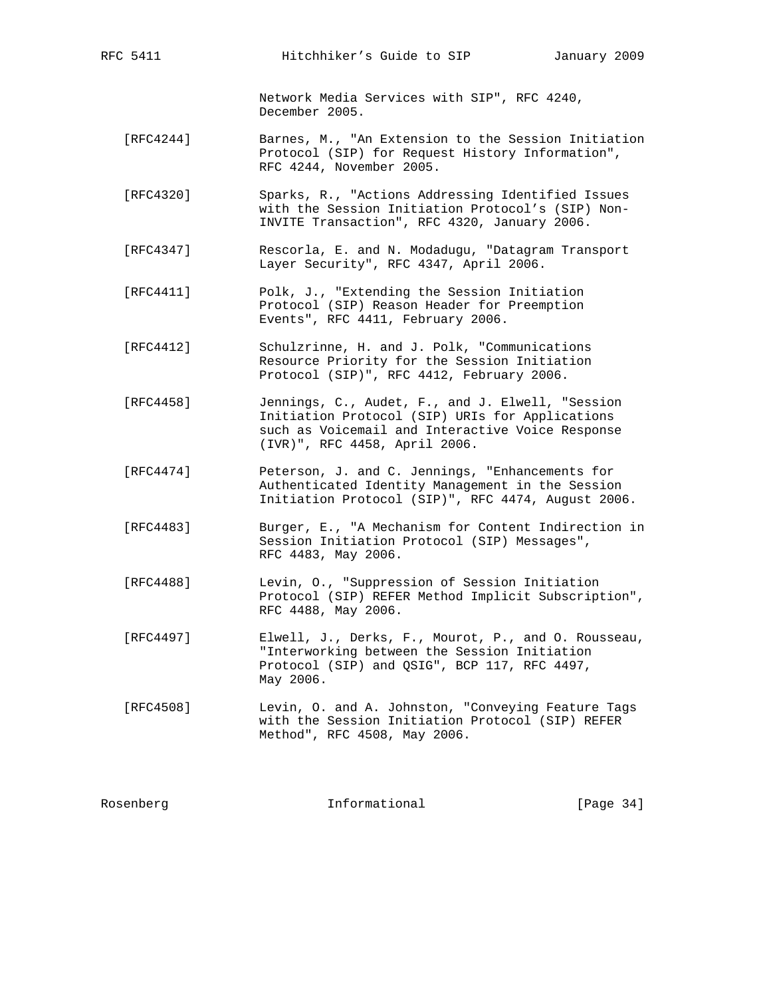Network Media Services with SIP", RFC 4240, December 2005.

- [RFC4244] Barnes, M., "An Extension to the Session Initiation Protocol (SIP) for Request History Information", RFC 4244, November 2005.
- [RFC4320] Sparks, R., "Actions Addressing Identified Issues with the Session Initiation Protocol's (SIP) Non- INVITE Transaction", RFC 4320, January 2006.
- [RFC4347] Rescorla, E. and N. Modadugu, "Datagram Transport Layer Security", RFC 4347, April 2006.
- [RFC4411] Polk, J., "Extending the Session Initiation Protocol (SIP) Reason Header for Preemption Events", RFC 4411, February 2006.
- [RFC4412] Schulzrinne, H. and J. Polk, "Communications Resource Priority for the Session Initiation Protocol (SIP)", RFC 4412, February 2006.
- [RFC4458] Jennings, C., Audet, F., and J. Elwell, "Session Initiation Protocol (SIP) URIs for Applications such as Voicemail and Interactive Voice Response (IVR)", RFC 4458, April 2006.
- [RFC4474] Peterson, J. and C. Jennings, "Enhancements for Authenticated Identity Management in the Session Initiation Protocol (SIP)", RFC 4474, August 2006.
- [RFC4483] Burger, E., "A Mechanism for Content Indirection in Session Initiation Protocol (SIP) Messages", RFC 4483, May 2006.
- [RFC4488] Levin, O., "Suppression of Session Initiation Protocol (SIP) REFER Method Implicit Subscription", RFC 4488, May 2006.
- [RFC4497] Elwell, J., Derks, F., Mourot, P., and O. Rousseau, "Interworking between the Session Initiation Protocol (SIP) and QSIG", BCP 117, RFC 4497, May 2006.
- [RFC4508] Levin, O. and A. Johnston, "Conveying Feature Tags with the Session Initiation Protocol (SIP) REFER Method", RFC 4508, May 2006.

| Rosenberg | Informational | [Page $34$ ] |
|-----------|---------------|--------------|
|           |               |              |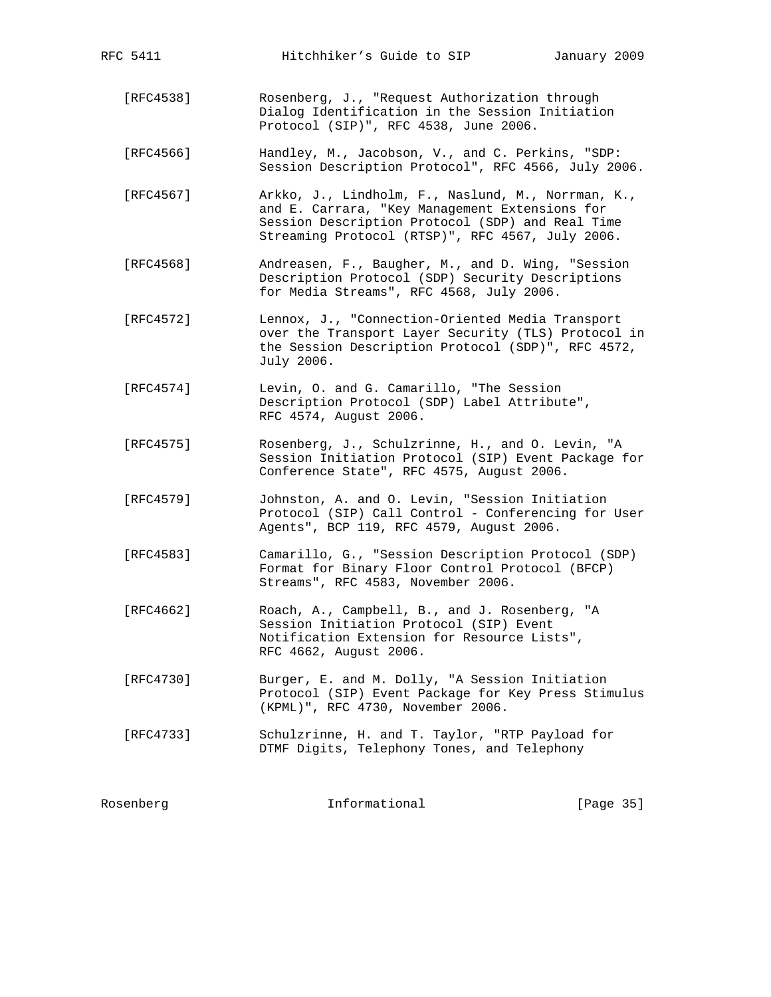| Rosenberg | Informational<br>[Page 35]                                                                                                                                                                                   |  |
|-----------|--------------------------------------------------------------------------------------------------------------------------------------------------------------------------------------------------------------|--|
| [RFC4733] | Schulzrinne, H. and T. Taylor, "RTP Payload for<br>DTMF Digits, Telephony Tones, and Telephony                                                                                                               |  |
| [RFC4730] | Burger, E. and M. Dolly, "A Session Initiation<br>Protocol (SIP) Event Package for Key Press Stimulus<br>(KPML)", RFC 4730, November 2006.                                                                   |  |
| [RFC4662] | Roach, A., Campbell, B., and J. Rosenberg, "A<br>Session Initiation Protocol (SIP) Event<br>Notification Extension for Resource Lists",<br>RFC 4662, August 2006.                                            |  |
| [RFC4583] | Camarillo, G., "Session Description Protocol (SDP)<br>Format for Binary Floor Control Protocol (BFCP)<br>Streams", RFC 4583, November 2006.                                                                  |  |
| [RFC4579] | Johnston, A. and O. Levin, "Session Initiation<br>Protocol (SIP) Call Control - Conferencing for User<br>Agents", BCP 119, RFC 4579, August 2006.                                                            |  |
| [RFC4575] | Rosenberg, J., Schulzrinne, H., and O. Levin, "A<br>Session Initiation Protocol (SIP) Event Package for<br>Conference State", RFC 4575, August 2006.                                                         |  |
| [RFC4574] | Levin, O. and G. Camarillo, "The Session<br>Description Protocol (SDP) Label Attribute",<br>RFC 4574, August 2006.                                                                                           |  |
| [RFC4572] | Lennox, J., "Connection-Oriented Media Transport<br>over the Transport Layer Security (TLS) Protocol in<br>the Session Description Protocol (SDP)", RFC 4572,<br>July 2006.                                  |  |
| [RFC4568] | Andreasen, F., Baugher, M., and D. Wing, "Session<br>Description Protocol (SDP) Security Descriptions<br>for Media Streams", RFC 4568, July 2006.                                                            |  |
| [RFC4567] | Arkko, J., Lindholm, F., Naslund, M., Norrman, K.,<br>and E. Carrara, "Key Management Extensions for<br>Session Description Protocol (SDP) and Real Time<br>Streaming Protocol (RTSP)", RFC 4567, July 2006. |  |
| [RFC4566] | Handley, M., Jacobson, V., and C. Perkins, "SDP:<br>Session Description Protocol", RFC 4566, July 2006.                                                                                                      |  |
| [RFC4538] | Rosenberg, J., "Request Authorization through<br>Dialog Identification in the Session Initiation<br>Protocol (SIP)", RFC 4538, June 2006.                                                                    |  |

RFC 5411 Hitchhiker's Guide to SIP January 2009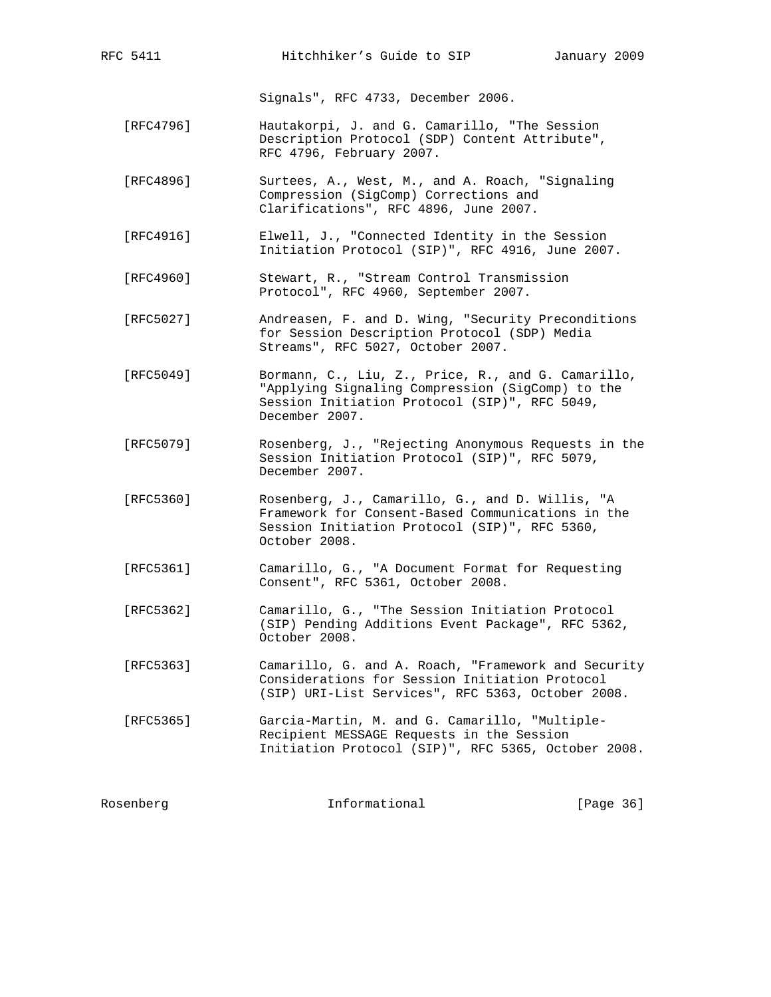Signals", RFC 4733, December 2006.

- [RFC4796] Hautakorpi, J. and G. Camarillo, "The Session Description Protocol (SDP) Content Attribute", RFC 4796, February 2007.
- [RFC4896] Surtees, A., West, M., and A. Roach, "Signaling Compression (SigComp) Corrections and Clarifications", RFC 4896, June 2007.
- [RFC4916] Elwell, J., "Connected Identity in the Session Initiation Protocol (SIP)", RFC 4916, June 2007.
- [RFC4960] Stewart, R., "Stream Control Transmission Protocol", RFC 4960, September 2007.
- [RFC5027] Andreasen, F. and D. Wing, "Security Preconditions for Session Description Protocol (SDP) Media Streams", RFC 5027, October 2007.
- [RFC5049] Bormann, C., Liu, Z., Price, R., and G. Camarillo, "Applying Signaling Compression (SigComp) to the Session Initiation Protocol (SIP)", RFC 5049, December 2007.
- [RFC5079] Rosenberg, J., "Rejecting Anonymous Requests in the Session Initiation Protocol (SIP)", RFC 5079, December 2007.
- [RFC5360] Rosenberg, J., Camarillo, G., and D. Willis, "A Framework for Consent-Based Communications in the Session Initiation Protocol (SIP)", RFC 5360, October 2008.
- [RFC5361] Camarillo, G., "A Document Format for Requesting Consent", RFC 5361, October 2008.
- [RFC5362] Camarillo, G., "The Session Initiation Protocol (SIP) Pending Additions Event Package", RFC 5362, October 2008.
- [RFC5363] Camarillo, G. and A. Roach, "Framework and Security Considerations for Session Initiation Protocol (SIP) URI-List Services", RFC 5363, October 2008.
- [RFC5365] Garcia-Martin, M. and G. Camarillo, "Multiple- Recipient MESSAGE Requests in the Session Initiation Protocol (SIP)", RFC 5365, October 2008.

| Rosenberg |  | Informational | [Page 36] |
|-----------|--|---------------|-----------|
|-----------|--|---------------|-----------|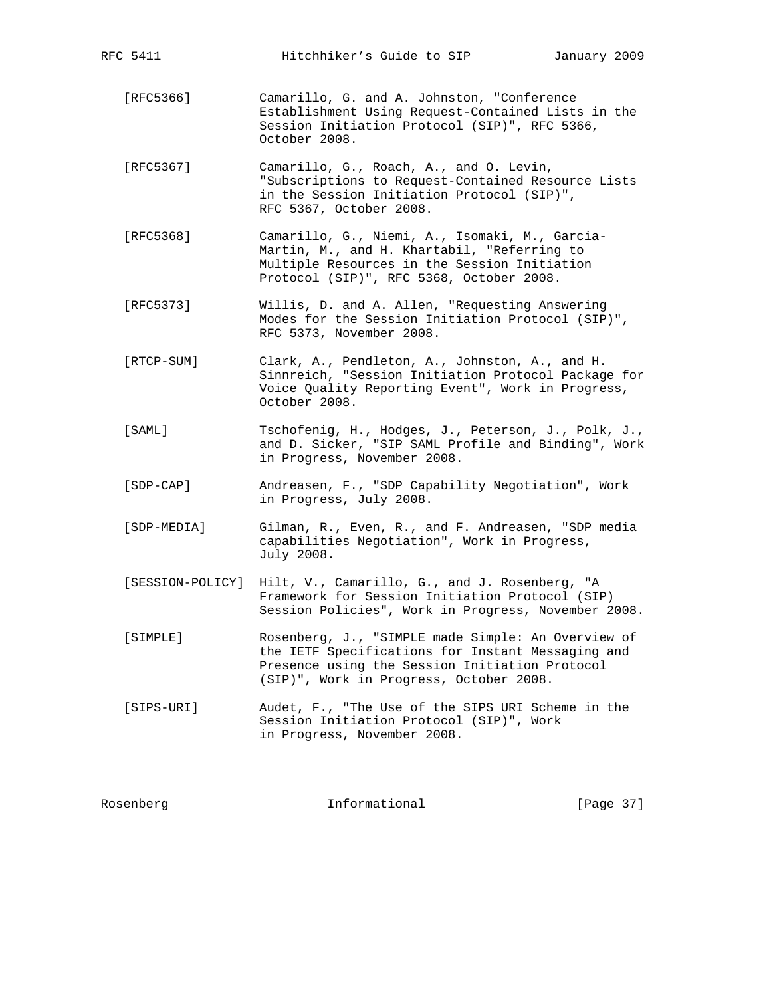| [REC5366]   | Camarillo, G. and A. Johnston, "Conference<br>Establishment Using Request-Contained Lists in the<br>Session Initiation Protocol (SIP)", RFC 5366,<br>October 2008.                                   |
|-------------|------------------------------------------------------------------------------------------------------------------------------------------------------------------------------------------------------|
| [RFC5367]   | Camarillo, G., Roach, A., and O. Levin,<br>"Subscriptions to Request-Contained Resource Lists<br>in the Session Initiation Protocol (SIP)",<br>RFC 5367, October 2008.                               |
| [RFC5368]   | Camarillo, G., Niemi, A., Isomaki, M., Garcia-<br>Martin, M., and H. Khartabil, "Referring to<br>Multiple Resources in the Session Initiation<br>Protocol (SIP)", RFC 5368, October 2008.            |
| [REC5373]   | Willis, D. and A. Allen, "Requesting Answering<br>Modes for the Session Initiation Protocol (SIP)",<br>RFC 5373, November 2008.                                                                      |
| [RTCP-SUM]  | Clark, A., Pendleton, A., Johnston, A., and H.<br>Sinnreich, "Session Initiation Protocol Package for<br>Voice Quality Reporting Event", Work in Progress,<br>October 2008.                          |
| [SAML]      | Tschofenig, H., Hodges, J., Peterson, J., Polk, J.,<br>and D. Sicker, "SIP SAML Profile and Binding", Work<br>in Progress, November 2008.                                                            |
| [SDP-CAP]   | Andreasen, F., "SDP Capability Negotiation", Work<br>in Progress, July 2008.                                                                                                                         |
| [SDP-MEDIA] | Gilman, R., Even, R., and F. Andreasen, "SDP media<br>capabilities Negotiation", Work in Progress,<br>July 2008.                                                                                     |
|             | [SESSION-POLICY] Hilt, V., Camarillo, G., and J. Rosenberg, "A<br>Framework for Session Initiation Protocol (SIP)<br>Session Policies", Work in Progress, November 2008.                             |
| [SIMPLE]    | Rosenberg, J., "SIMPLE made Simple: An Overview of<br>the IETF Specifications for Instant Messaging and<br>Presence using the Session Initiation Protocol<br>(SIP)", Work in Progress, October 2008. |
| [SIPS-URI]  | Audet, F., "The Use of the SIPS URI Scheme in the<br>Session Initiation Protocol (SIP)", Work<br>in Progress, November 2008.                                                                         |
|             |                                                                                                                                                                                                      |

RFC 5411 Hitchhiker's Guide to SIP January 2009

Rosenberg 10 Informational [Page 37]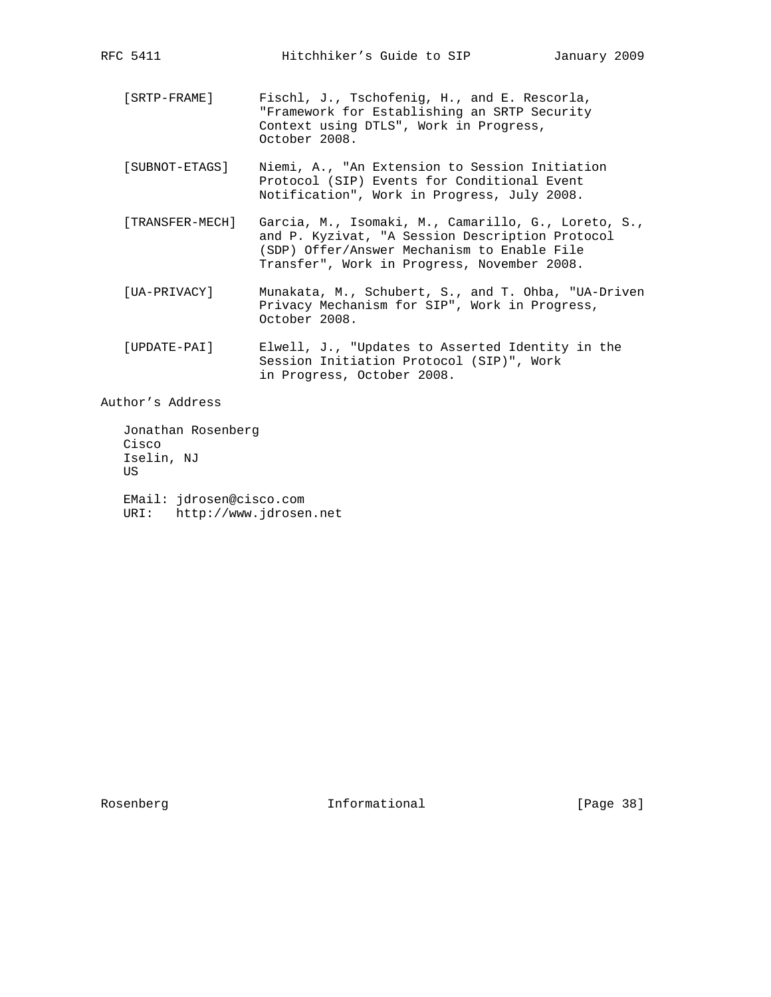- [SRTP-FRAME] Fischl, J., Tschofenig, H., and E. Rescorla, "Framework for Establishing an SRTP Security Context using DTLS", Work in Progress, October 2008.
- [SUBNOT-ETAGS] Niemi, A., "An Extension to Session Initiation Protocol (SIP) Events for Conditional Event Notification", Work in Progress, July 2008.
- [TRANSFER-MECH] Garcia, M., Isomaki, M., Camarillo, G., Loreto, S., and P. Kyzivat, "A Session Description Protocol (SDP) Offer/Answer Mechanism to Enable File Transfer", Work in Progress, November 2008.
- [UA-PRIVACY] Munakata, M., Schubert, S., and T. Ohba, "UA-Driven Privacy Mechanism for SIP", Work in Progress, October 2008.
- [UPDATE-PAI] Elwell, J., "Updates to Asserted Identity in the Session Initiation Protocol (SIP)", Work in Progress, October 2008.

Author's Address

 Jonathan Rosenberg Cisco Iselin, NJ US

 EMail: jdrosen@cisco.com URI: http://www.jdrosen.net

Rosenberg **Informational** [Page 38]